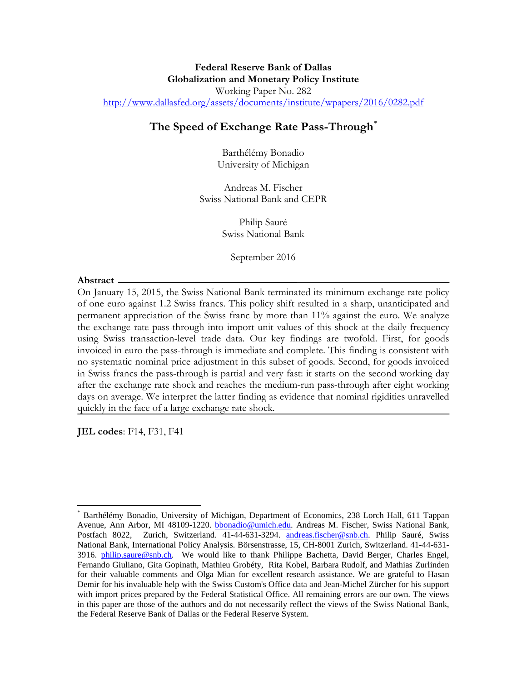# **The Speed of Exchange Rate Pass-Through**[\\*](#page-0-0)

Barthélémy Bonadio University of Michigan

Andreas M. Fischer Swiss National Bank and CEPR

> Philip Sauré Swiss National Bank

> > September 2016

#### **Abstract**

On January 15, 2015, the Swiss National Bank terminated its minimum exchange rate policy of one euro against 1.2 Swiss francs. This policy shift resulted in a sharp, unanticipated and permanent appreciation of the Swiss franc by more than 11% against the euro. We analyze the exchange rate pass-through into import unit values of this shock at the daily frequency using Swiss transaction-level trade data. Our key findings are twofold. First, for goods invoiced in euro the pass-through is immediate and complete. This finding is consistent with no systematic nominal price adjustment in this subset of goods. Second, for goods invoiced in Swiss francs the pass-through is partial and very fast: it starts on the second working day after the exchange rate shock and reaches the medium-run pass-through after eight working days on average. We interpret the latter finding as evidence that nominal rigidities unravelled quickly in the face of a large exchange rate shock.

**JEL codes**: F14, F31, F41

<span id="page-0-0"></span><sup>\*</sup> Barthélémy Bonadio, University of Michigan, Department of Economics, 238 Lorch Hall, 611 Tappan Avenue, Ann Arbor, MI 48109-1220. [bbonadio@umich.edu.](mailto:bbonadio@umich.edu) Andreas M. Fischer, Swiss National Bank, Postfach 8022, Zurich, Switzerland. 41-44-631-3294. [andreas.fischer@snb.ch.](mailto:andreas.fischer@snb.ch) Philip Sauré, Swiss National Bank, International Policy Analysis. Börsenstrasse, 15, CH-8001 Zurich, Switzerland. 41-44-631- 3916. [philip.saure@snb.ch.](mailto:philip.saure@snb.ch) We would like to thank Philippe Bachetta, David Berger, Charles Engel, Fernando Giuliano, Gita Gopinath, Mathieu Grobéty, Rita Kobel, Barbara Rudolf, and Mathias Zurlinden for their valuable comments and Olga Mian for excellent research assistance. We are grateful to Hasan Demir for his invaluable help with the Swiss Custom's Office data and Jean-Michel Zürcher for his support with import prices prepared by the Federal Statistical Office. All remaining errors are our own. The views in this paper are those of the authors and do not necessarily reflect the views of the Swiss National Bank, the Federal Reserve Bank of Dallas or the Federal Reserve System.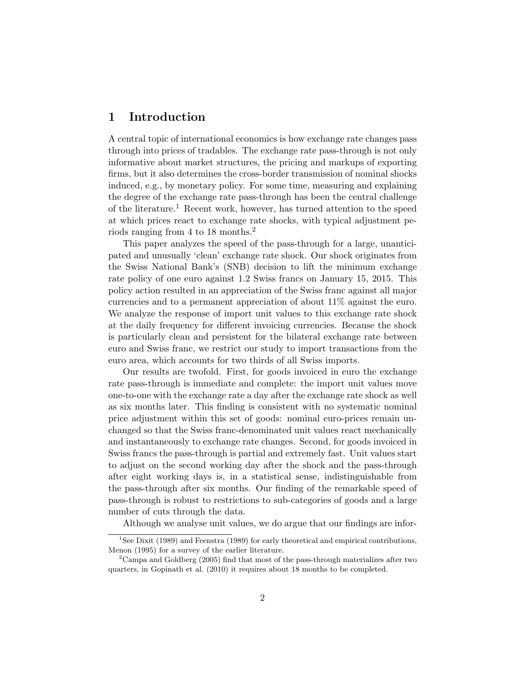# 1 Introduction

A central topic of international economics is how exchange rate changes pass through into prices of tradables. The exchange rate pass-through is not only informative about market structures, the pricing and markups of exporting firms, but it also determines the cross-border transmission of nominal shocks induced, e.g., by monetary policy. For some time, measuring and explaining the degree of the exchange rate pass-through has been the central challenge of the literature.<sup>1</sup> Recent work, however, has turned attention to the speed at which prices react to exchange rate shocks, with typical adjustment periods ranging from 4 to 18 months.<sup>2</sup>

This paper analyzes the speed of the pass-through for a large, unanticipated and unusually 'clean' exchange rate shock. Our shock originates from the Swiss National Bank's (SNB) decision to lift the minimum exchange rate policy of one euro against 1.2 Swiss francs on January 15, 2015. This policy action resulted in an appreciation of the Swiss franc against all major currencies and to a permanent appreciation of about 11% against the euro. We analyze the response of import unit values to this exchange rate shock at the daily frequency for different invoicing currencies. Because the shock is particularly clean and persistent for the bilateral exchange rate between euro and Swiss franc, we restrict our study to import transactions from the euro area, which accounts for two thirds of all Swiss imports.

Our results are twofold. First, for goods invoiced in euro the exchange rate pass-through is immediate and complete: the import unit values move one-to-one with the exchange rate a day after the exchange rate shock as well as six months later. This finding is consistent with no systematic nominal price adjustment within this set of goods: nominal euro-prices remain unchanged so that the Swiss franc-denominated unit values react mechanically and instantaneously to exchange rate changes. Second, for goods invoiced in Swiss francs the pass-through is partial and extremely fast. Unit values start to adjust on the second working day after the shock and the pass-through after eight working days is, in a statistical sense, indistinguishable from the pass-through after six months. Our finding of the remarkable speed of pass-through is robust to restrictions to sub-categories of goods and a large number of cuts through the data.

Although we analyse unit values, we do argue that our findings are infor-

<sup>&</sup>lt;sup>1</sup>See Dixit (1989) and Feenstra (1989) for early theoretical and empirical contributions, Menon (1995) for a survey of the earlier literature.

<sup>&</sup>lt;sup>2</sup>Campa and Goldberg (2005) find that most of the pass-through materializes after two quarters, in Gopinath et al. (2010) it requires about 18 months to be completed.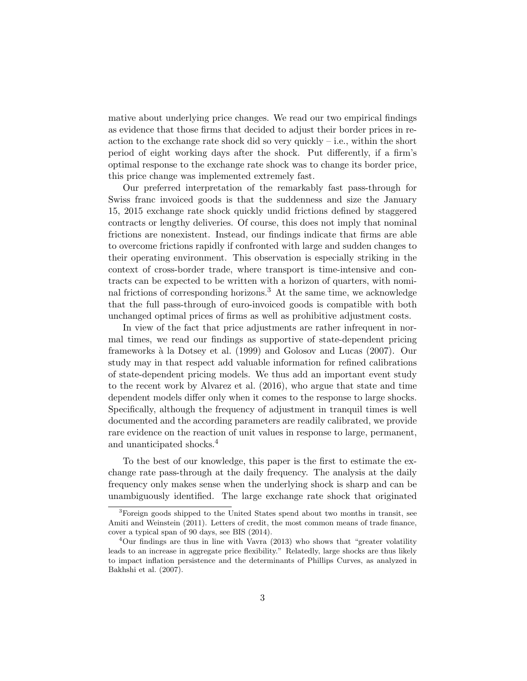mative about underlying price changes. We read our two empirical findings as evidence that those firms that decided to adjust their border prices in reaction to the exchange rate shock did so very quickly – i.e., within the short period of eight working days after the shock. Put differently, if a firm's optimal response to the exchange rate shock was to change its border price, this price change was implemented extremely fast.

Our preferred interpretation of the remarkably fast pass-through for Swiss franc invoiced goods is that the suddenness and size the January 15, 2015 exchange rate shock quickly undid frictions defined by staggered contracts or lengthy deliveries. Of course, this does not imply that nominal frictions are nonexistent. Instead, our findings indicate that firms are able to overcome frictions rapidly if confronted with large and sudden changes to their operating environment. This observation is especially striking in the context of cross-border trade, where transport is time-intensive and contracts can be expected to be written with a horizon of quarters, with nominal frictions of corresponding horizons.<sup>3</sup> At the same time, we acknowledge that the full pass-through of euro-invoiced goods is compatible with both unchanged optimal prices of firms as well as prohibitive adjustment costs.

In view of the fact that price adjustments are rather infrequent in normal times, we read our findings as supportive of state-dependent pricing frameworks `a la Dotsey et al. (1999) and Golosov and Lucas (2007). Our study may in that respect add valuable information for refined calibrations of state-dependent pricing models. We thus add an important event study to the recent work by Alvarez et al. (2016), who argue that state and time dependent models differ only when it comes to the response to large shocks. Specifically, although the frequency of adjustment in tranquil times is well documented and the according parameters are readily calibrated, we provide rare evidence on the reaction of unit values in response to large, permanent, and unanticipated shocks.<sup>4</sup>

To the best of our knowledge, this paper is the first to estimate the exchange rate pass-through at the daily frequency. The analysis at the daily frequency only makes sense when the underlying shock is sharp and can be unambiguously identified. The large exchange rate shock that originated

<sup>3</sup>Foreign goods shipped to the United States spend about two months in transit, see Amiti and Weinstein (2011). Letters of credit, the most common means of trade finance, cover a typical span of 90 days, see BIS (2014).

<sup>4</sup>Our findings are thus in line with Vavra (2013) who shows that "greater volatility leads to an increase in aggregate price flexibility." Relatedly, large shocks are thus likely to impact inflation persistence and the determinants of Phillips Curves, as analyzed in Bakhshi et al. (2007).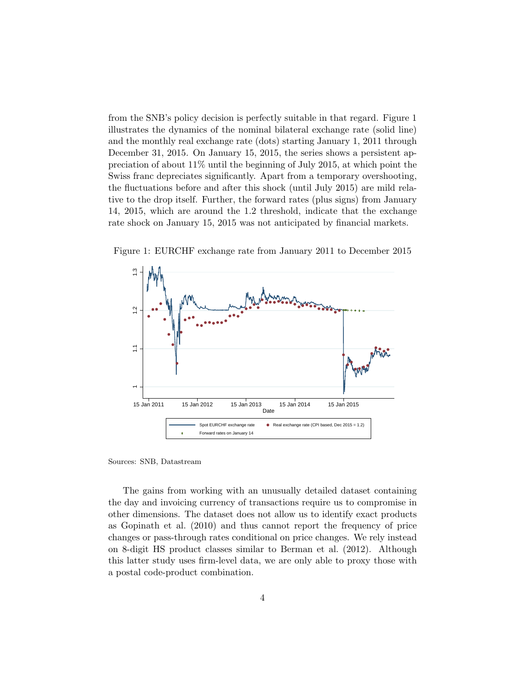from the SNB's policy decision is perfectly suitable in that regard. Figure 1 illustrates the dynamics of the nominal bilateral exchange rate (solid line) and the monthly real exchange rate (dots) starting January 1, 2011 through December 31, 2015. On January 15, 2015, the series shows a persistent appreciation of about 11% until the beginning of July 2015, at which point the Swiss franc depreciates significantly. Apart from a temporary overshooting, the fluctuations before and after this shock (until July 2015) are mild relative to the drop itself. Further, the forward rates (plus signs) from January 14, 2015, which are around the 1.2 threshold, indicate that the exchange rate shock on January 15, 2015 was not anticipated by financial markets.



Figure 1: EURCHF exchange rate from January 2011 to December 2015

Sources: SNB, Datastream

The gains from working with an unusually detailed dataset containing the day and invoicing currency of transactions require us to compromise in other dimensions. The dataset does not allow us to identify exact products as Gopinath et al. (2010) and thus cannot report the frequency of price changes or pass-through rates conditional on price changes. We rely instead on 8-digit HS product classes similar to Berman et al. (2012). Although this latter study uses firm-level data, we are only able to proxy those with a postal code-product combination.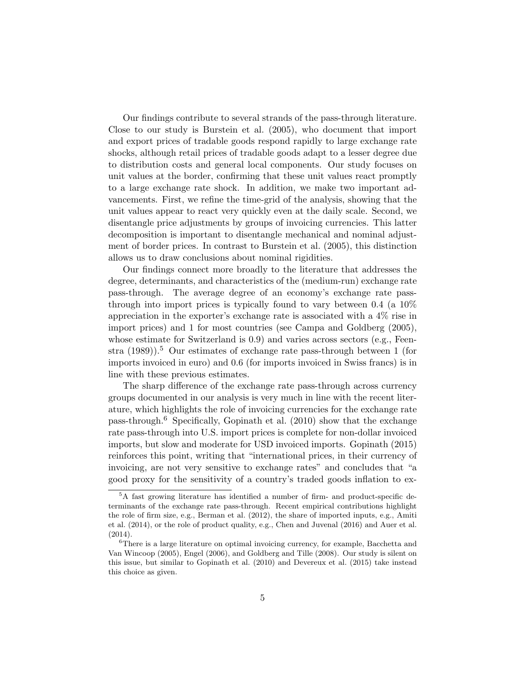Our findings contribute to several strands of the pass-through literature. Close to our study is Burstein et al. (2005), who document that import and export prices of tradable goods respond rapidly to large exchange rate shocks, although retail prices of tradable goods adapt to a lesser degree due to distribution costs and general local components. Our study focuses on unit values at the border, confirming that these unit values react promptly to a large exchange rate shock. In addition, we make two important advancements. First, we refine the time-grid of the analysis, showing that the unit values appear to react very quickly even at the daily scale. Second, we disentangle price adjustments by groups of invoicing currencies. This latter decomposition is important to disentangle mechanical and nominal adjustment of border prices. In contrast to Burstein et al. (2005), this distinction allows us to draw conclusions about nominal rigidities.

Our findings connect more broadly to the literature that addresses the degree, determinants, and characteristics of the (medium-run) exchange rate pass-through. The average degree of an economy's exchange rate passthrough into import prices is typically found to vary between 0.4 (a 10% appreciation in the exporter's exchange rate is associated with a 4% rise in import prices) and 1 for most countries (see Campa and Goldberg (2005), whose estimate for Switzerland is 0.9) and varies across sectors (e.g., Feenstra  $(1989)$ <sup>5</sup>. Our estimates of exchange rate pass-through between 1 (for imports invoiced in euro) and 0.6 (for imports invoiced in Swiss francs) is in line with these previous estimates.

The sharp difference of the exchange rate pass-through across currency groups documented in our analysis is very much in line with the recent literature, which highlights the role of invoicing currencies for the exchange rate pass-through.<sup>6</sup> Specifically, Gopinath et al.  $(2010)$  show that the exchange rate pass-through into U.S. import prices is complete for non-dollar invoiced imports, but slow and moderate for USD invoiced imports. Gopinath (2015) reinforces this point, writing that "international prices, in their currency of invoicing, are not very sensitive to exchange rates" and concludes that "a good proxy for the sensitivity of a country's traded goods inflation to ex-

<sup>5</sup>A fast growing literature has identified a number of firm- and product-specific determinants of the exchange rate pass-through. Recent empirical contributions highlight the role of firm size, e.g., Berman et al. (2012), the share of imported inputs, e.g., Amiti et al. (2014), or the role of product quality, e.g., Chen and Juvenal (2016) and Auer et al. (2014).

 ${}^{6}$ There is a large literature on optimal invoicing currency, for example, Bacchetta and Van Wincoop (2005), Engel (2006), and Goldberg and Tille (2008). Our study is silent on this issue, but similar to Gopinath et al. (2010) and Devereux et al. (2015) take instead this choice as given.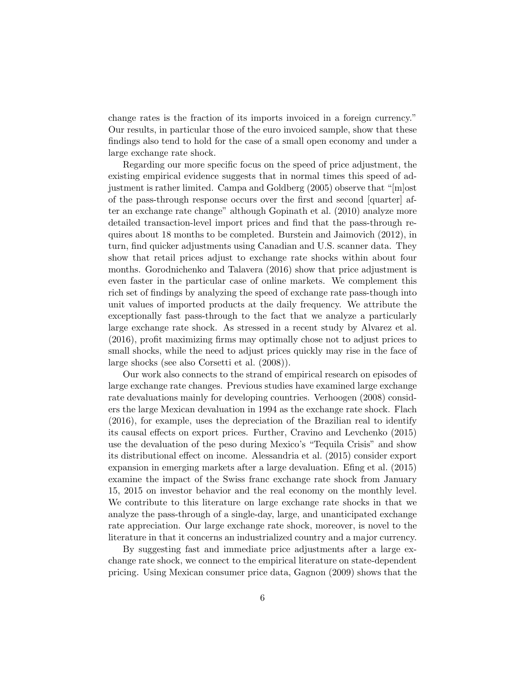change rates is the fraction of its imports invoiced in a foreign currency." Our results, in particular those of the euro invoiced sample, show that these findings also tend to hold for the case of a small open economy and under a large exchange rate shock.

Regarding our more specific focus on the speed of price adjustment, the existing empirical evidence suggests that in normal times this speed of adjustment is rather limited. Campa and Goldberg (2005) observe that "[m]ost of the pass-through response occurs over the first and second [quarter] after an exchange rate change" although Gopinath et al. (2010) analyze more detailed transaction-level import prices and find that the pass-through requires about 18 months to be completed. Burstein and Jaimovich (2012), in turn, find quicker adjustments using Canadian and U.S. scanner data. They show that retail prices adjust to exchange rate shocks within about four months. Gorodnichenko and Talavera (2016) show that price adjustment is even faster in the particular case of online markets. We complement this rich set of findings by analyzing the speed of exchange rate pass-though into unit values of imported products at the daily frequency. We attribute the exceptionally fast pass-through to the fact that we analyze a particularly large exchange rate shock. As stressed in a recent study by Alvarez et al. (2016), profit maximizing firms may optimally chose not to adjust prices to small shocks, while the need to adjust prices quickly may rise in the face of large shocks (see also Corsetti et al. (2008)).

Our work also connects to the strand of empirical research on episodes of large exchange rate changes. Previous studies have examined large exchange rate devaluations mainly for developing countries. Verhoogen (2008) considers the large Mexican devaluation in 1994 as the exchange rate shock. Flach (2016), for example, uses the depreciation of the Brazilian real to identify its causal effects on export prices. Further, Cravino and Levchenko (2015) use the devaluation of the peso during Mexico's "Tequila Crisis" and show its distributional effect on income. Alessandria et al. (2015) consider export expansion in emerging markets after a large devaluation. Efing et al. (2015) examine the impact of the Swiss franc exchange rate shock from January 15, 2015 on investor behavior and the real economy on the monthly level. We contribute to this literature on large exchange rate shocks in that we analyze the pass-through of a single-day, large, and unanticipated exchange rate appreciation. Our large exchange rate shock, moreover, is novel to the literature in that it concerns an industrialized country and a major currency.

By suggesting fast and immediate price adjustments after a large exchange rate shock, we connect to the empirical literature on state-dependent pricing. Using Mexican consumer price data, Gagnon (2009) shows that the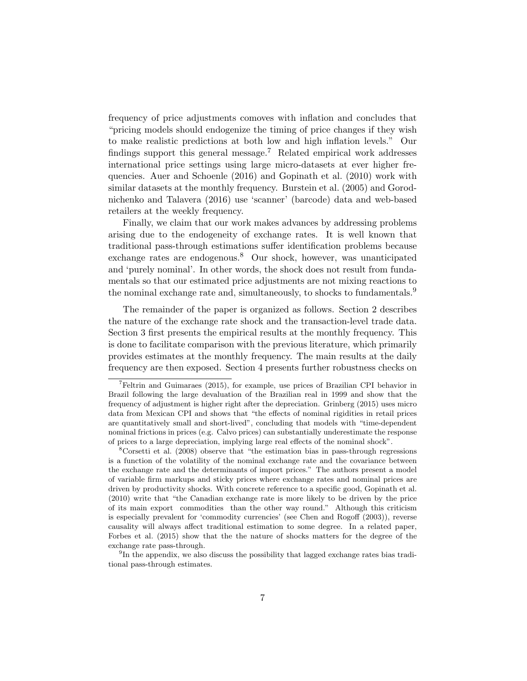frequency of price adjustments comoves with inflation and concludes that "pricing models should endogenize the timing of price changes if they wish to make realistic predictions at both low and high inflation levels." Our findings support this general message.<sup>7</sup> Related empirical work addresses international price settings using large micro-datasets at ever higher frequencies. Auer and Schoenle (2016) and Gopinath et al. (2010) work with similar datasets at the monthly frequency. Burstein et al. (2005) and Gorodnichenko and Talavera (2016) use 'scanner' (barcode) data and web-based retailers at the weekly frequency.

Finally, we claim that our work makes advances by addressing problems arising due to the endogeneity of exchange rates. It is well known that traditional pass-through estimations suffer identification problems because exchange rates are endogenous.<sup>8</sup> Our shock, however, was unanticipated and 'purely nominal'. In other words, the shock does not result from fundamentals so that our estimated price adjustments are not mixing reactions to the nominal exchange rate and, simultaneously, to shocks to fundamentals.<sup>9</sup>

The remainder of the paper is organized as follows. Section 2 describes the nature of the exchange rate shock and the transaction-level trade data. Section 3 first presents the empirical results at the monthly frequency. This is done to facilitate comparison with the previous literature, which primarily provides estimates at the monthly frequency. The main results at the daily frequency are then exposed. Section 4 presents further robustness checks on

<sup>7</sup>Feltrin and Guimaraes (2015), for example, use prices of Brazilian CPI behavior in Brazil following the large devaluation of the Brazilian real in 1999 and show that the frequency of adjustment is higher right after the depreciation. Grinberg (2015) uses micro data from Mexican CPI and shows that "the effects of nominal rigidities in retail prices are quantitatively small and short-lived", concluding that models with "time-dependent nominal frictions in prices (e.g. Calvo prices) can substantially underestimate the response of prices to a large depreciation, implying large real effects of the nominal shock".

<sup>8</sup>Corsetti et al. (2008) observe that "the estimation bias in pass-through regressions is a function of the volatility of the nominal exchange rate and the covariance between the exchange rate and the determinants of import prices." The authors present a model of variable firm markups and sticky prices where exchange rates and nominal prices are driven by productivity shocks. With concrete reference to a specific good, Gopinath et al. (2010) write that "the Canadian exchange rate is more likely to be driven by the price of its main export commodities than the other way round." Although this criticism is especially prevalent for 'commodity currencies' (see Chen and Rogoff (2003)), reverse causality will always affect traditional estimation to some degree. In a related paper, Forbes et al. (2015) show that the the nature of shocks matters for the degree of the exchange rate pass-through.

<sup>&</sup>lt;sup>9</sup>In the appendix, we also discuss the possibility that lagged exchange rates bias traditional pass-through estimates.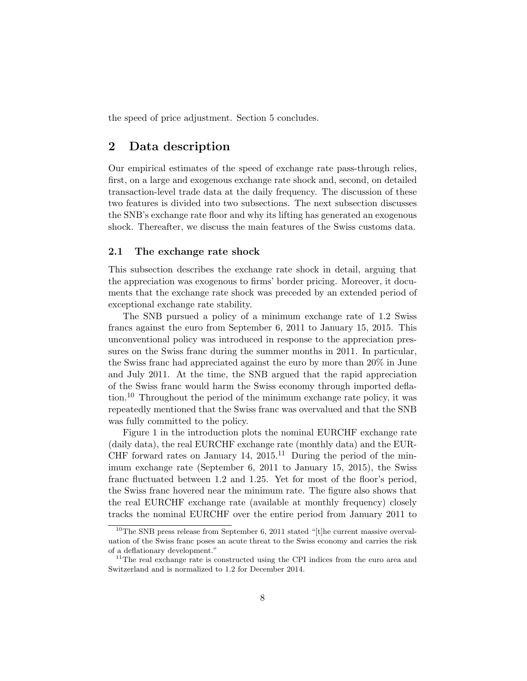the speed of price adjustment. Section 5 concludes.

# 2 Data description

Our empirical estimates of the speed of exchange rate pass-through relies, first, on a large and exogenous exchange rate shock and, second, on detailed transaction-level trade data at the daily frequency. The discussion of these two features is divided into two subsections. The next subsection discusses the SNB's exchange rate floor and why its lifting has generated an exogenous shock. Thereafter, we discuss the main features of the Swiss customs data.

#### 2.1 The exchange rate shock

This subsection describes the exchange rate shock in detail, arguing that the appreciation was exogenous to firms' border pricing. Moreover, it documents that the exchange rate shock was preceded by an extended period of exceptional exchange rate stability.

The SNB pursued a policy of a minimum exchange rate of 1.2 Swiss francs against the euro from September 6, 2011 to January 15, 2015. This unconventional policy was introduced in response to the appreciation pressures on the Swiss franc during the summer months in 2011. In particular, the Swiss franc had appreciated against the euro by more than 20% in June and July 2011. At the time, the SNB argued that the rapid appreciation of the Swiss franc would harm the Swiss economy through imported deflation.<sup>10</sup> Throughout the period of the minimum exchange rate policy, it was repeatedly mentioned that the Swiss franc was overvalued and that the SNB was fully committed to the policy.

Figure 1 in the introduction plots the nominal EURCHF exchange rate (daily data), the real EURCHF exchange rate (monthly data) and the EUR-CHF forward rates on January 14,  $2015$ <sup>11</sup> During the period of the minimum exchange rate (September 6, 2011 to January 15, 2015), the Swiss franc fluctuated between 1.2 and 1.25. Yet for most of the floor's period, the Swiss franc hovered near the minimum rate. The figure also shows that the real EURCHF exchange rate (available at monthly frequency) closely tracks the nominal EURCHF over the entire period from January 2011 to

 $10$ <sup>10</sup>The SNB press release from September 6, 2011 stated "[t]he current massive overvaluation of the Swiss franc poses an acute threat to the Swiss economy and carries the risk of a deflationary development."

<sup>&</sup>lt;sup>11</sup>The real exchange rate is constructed using the CPI indices from the euro area and Switzerland and is normalized to 1.2 for December 2014.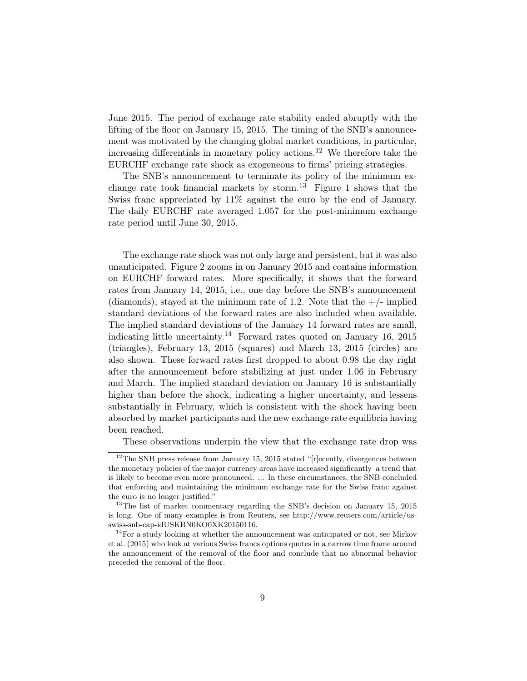June 2015. The period of exchange rate stability ended abruptly with the lifting of the floor on January 15, 2015. The timing of the SNB's announcement was motivated by the changing global market conditions, in particular, increasing differentials in monetary policy actions.<sup>12</sup> We therefore take the EURCHF exchange rate shock as exogeneous to firms' pricing strategies.

The SNB's announcement to terminate its policy of the minimum exchange rate took financial markets by storm.<sup>13</sup> Figure 1 shows that the Swiss franc appreciated by 11% against the euro by the end of January. The daily EURCHF rate averaged 1.057 for the post-minimum exchange rate period until June 30, 2015.

The exchange rate shock was not only large and persistent, but it was also unanticipated. Figure 2 zooms in on January 2015 and contains information on EURCHF forward rates. More specifically, it shows that the forward rates from January 14, 2015, i.e., one day before the SNB's announcement (diamonds), stayed at the minimum rate of 1.2. Note that the  $+/-$  implied standard deviations of the forward rates are also included when available. The implied standard deviations of the January 14 forward rates are small, indicating little uncertainty.<sup>14</sup> Forward rates quoted on January 16, 2015 (triangles), February 13, 2015 (squares) and March 13, 2015 (circles) are also shown. These forward rates first dropped to about 0.98 the day right after the announcement before stabilizing at just under 1.06 in February and March. The implied standard deviation on January 16 is substantially higher than before the shock, indicating a higher uncertainty, and lessens substantially in February, which is consistent with the shock having been absorbed by market participants and the new exchange rate equilibria having been reached.

These observations underpin the view that the exchange rate drop was

<sup>&</sup>lt;sup>12</sup>The SNB press release from January 15, 2015 stated "[r]ecently, divergences between the monetary policies of the major currency areas have increased significantly a trend that is likely to become even more pronounced. ... In these circumstances, the SNB concluded that enforcing and maintaining the minimum exchange rate for the Swiss franc against the euro is no longer justified."

<sup>&</sup>lt;sup>13</sup>The list of market commentary regarding the SNB's decision on January 15, 2015 is long. One of many examples is from Reuters, see http://www.reuters.com/article/usswiss-snb-cap-idUSKBN0KO0XK20150116.

<sup>&</sup>lt;sup>14</sup>For a study looking at whether the announcement was anticipated or not, see Mirkov et al. (2015) who look at various Swiss francs options quotes in a narrow time frame around the announcement of the removal of the floor and conclude that no abnormal behavior preceded the removal of the floor.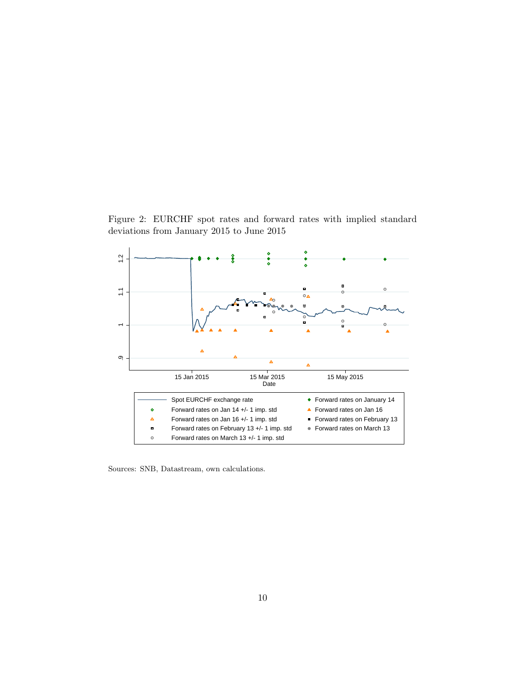Figure 2: EURCHF spot rates and forward rates with implied standard deviations from January 2015 to June 2015



Sources: SNB, Datastream, own calculations.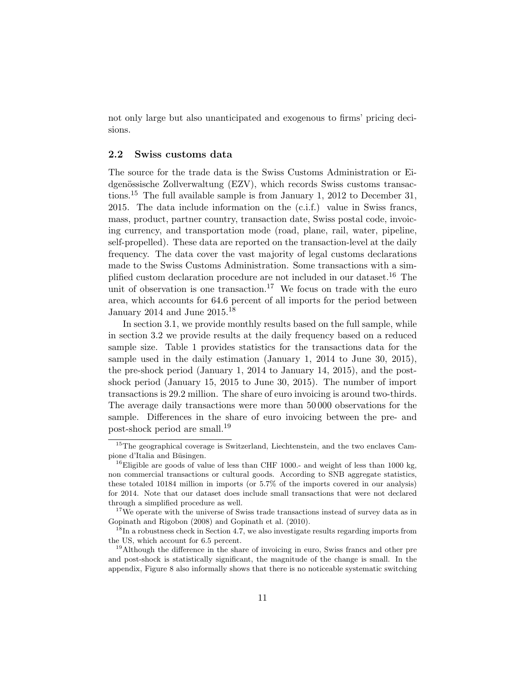not only large but also unanticipated and exogenous to firms' pricing decisions.

#### 2.2 Swiss customs data

The source for the trade data is the Swiss Customs Administration or Eidgenössische Zollverwaltung (EZV), which records Swiss customs transactions.<sup>15</sup> The full available sample is from January 1, 2012 to December 31, 2015. The data include information on the (c.i.f.) value in Swiss francs, mass, product, partner country, transaction date, Swiss postal code, invoicing currency, and transportation mode (road, plane, rail, water, pipeline, self-propelled). These data are reported on the transaction-level at the daily frequency. The data cover the vast majority of legal customs declarations made to the Swiss Customs Administration. Some transactions with a simplified custom declaration procedure are not included in our dataset.<sup>16</sup> The unit of observation is one transaction.<sup>17</sup> We focus on trade with the euro area, which accounts for 64.6 percent of all imports for the period between January 2014 and June  $2015.<sup>18</sup>$ 

In section 3.1, we provide monthly results based on the full sample, while in section 3.2 we provide results at the daily frequency based on a reduced sample size. Table 1 provides statistics for the transactions data for the sample used in the daily estimation (January 1, 2014 to June 30, 2015), the pre-shock period (January 1, 2014 to January 14, 2015), and the postshock period (January 15, 2015 to June 30, 2015). The number of import transactions is 29.2 million. The share of euro invoicing is around two-thirds. The average daily transactions were more than 50 000 observations for the sample. Differences in the share of euro invoicing between the pre- and post-shock period are small.<sup>19</sup>

<sup>&</sup>lt;sup>15</sup>The geographical coverage is Switzerland, Liechtenstein, and the two enclaves Campione d'Italia and Büsingen.

<sup>&</sup>lt;sup>16</sup>Eligible are goods of value of less than CHF 1000.- and weight of less than 1000 kg, non commercial transactions or cultural goods. According to SNB aggregate statistics, these totaled 10184 million in imports (or 5.7% of the imports covered in our analysis) for 2014. Note that our dataset does include small transactions that were not declared through a simplified procedure as well.

<sup>&</sup>lt;sup>17</sup>We operate with the universe of Swiss trade transactions instead of survey data as in Gopinath and Rigobon (2008) and Gopinath et al. (2010).

 $18$ In a robustness check in Section 4.7, we also investigate results regarding imports from the US, which account for 6.5 percent.

<sup>&</sup>lt;sup>19</sup>Although the difference in the share of invoicing in euro, Swiss francs and other pre and post-shock is statistically significant, the magnitude of the change is small. In the appendix, Figure 8 also informally shows that there is no noticeable systematic switching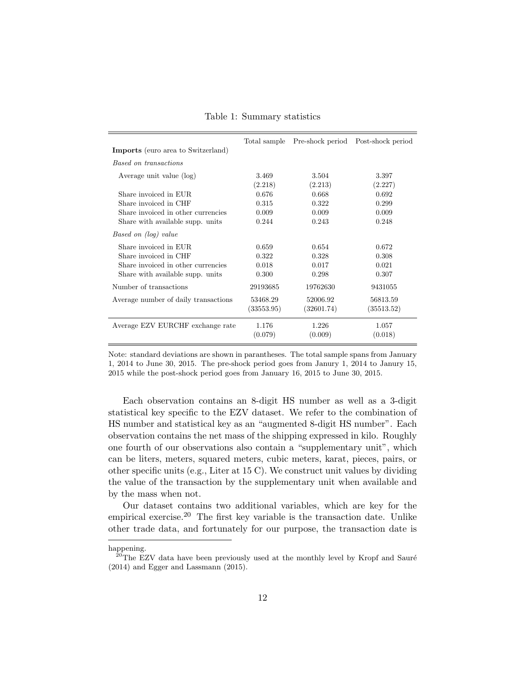|                                           | Total sample | Pre-shock period | Post-shock period |
|-------------------------------------------|--------------|------------------|-------------------|
| <b>Imports</b> (euro area to Switzerland) |              |                  |                   |
| Based on transactions                     |              |                  |                   |
| Average unit value (log)                  | 3.469        | 3.504            | 3.397             |
|                                           | (2.218)      | (2.213)          | (2.227)           |
| Share invoiced in EUR.                    | 0.676        | 0.668            | 0.692             |
| Share invoiced in CHF                     | 0.315        | 0.322            | 0.299             |
| Share invoiced in other currencies        | 0.009        | 0.009            | 0.009             |
| Share with available supp. units          | 0.244        | 0.243            | 0.248             |
| Based on (log) value                      |              |                  |                   |
| Share invoiced in EUR.                    | 0.659        | 0.654            | 0.672             |
| Share invoiced in CHF                     | 0.322        | 0.328            | 0.308             |
| Share invoiced in other currencies        | 0.018        | 0.017            | 0.021             |
| Share with available supp. units          | 0.300        | 0.298            | 0.307             |
| Number of transactions                    | 29193685     | 19762630         | 9431055           |
| Average number of daily transactions      | 53468.29     | 52006.92         | 56813.59          |
|                                           | (33553.95)   | (32601.74)       | (35513.52)        |
| Average EZV EURCHF exchange rate          | 1.176        | 1.226            | 1.057             |
|                                           | (0.079)      | (0.009)          | (0.018)           |

Table 1: Summary statistics

Note: standard deviations are shown in parantheses. The total sample spans from January 1, 2014 to June 30, 2015. The pre-shock period goes from Janury 1, 2014 to Janury 15, 2015 while the post-shock period goes from January 16, 2015 to June 30, 2015.

Each observation contains an 8-digit HS number as well as a 3-digit statistical key specific to the EZV dataset. We refer to the combination of HS number and statistical key as an "augmented 8-digit HS number". Each observation contains the net mass of the shipping expressed in kilo. Roughly one fourth of our observations also contain a "supplementary unit", which can be liters, meters, squared meters, cubic meters, karat, pieces, pairs, or other specific units (e.g., Liter at 15 C). We construct unit values by dividing the value of the transaction by the supplementary unit when available and by the mass when not.

Our dataset contains two additional variables, which are key for the empirical exercise.<sup>20</sup> The first key variable is the transaction date. Unlike other trade data, and fortunately for our purpose, the transaction date is

happening.

 $20$ The EZV data have been previously used at the monthly level by Kropf and Sauré (2014) and Egger and Lassmann (2015).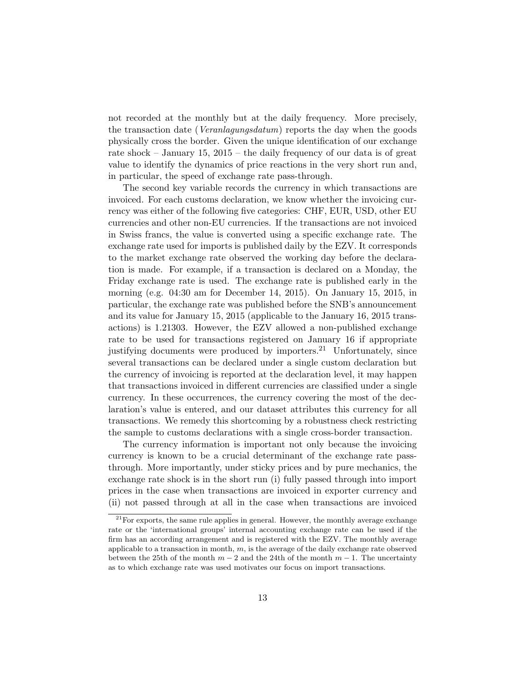not recorded at the monthly but at the daily frequency. More precisely, the transaction date (*Veranlagungsdatum*) reports the day when the goods physically cross the border. Given the unique identification of our exchange rate shock – January 15, 2015 – the daily frequency of our data is of great value to identify the dynamics of price reactions in the very short run and, in particular, the speed of exchange rate pass-through.

The second key variable records the currency in which transactions are invoiced. For each customs declaration, we know whether the invoicing currency was either of the following five categories: CHF, EUR, USD, other EU currencies and other non-EU currencies. If the transactions are not invoiced in Swiss francs, the value is converted using a specific exchange rate. The exchange rate used for imports is published daily by the EZV. It corresponds to the market exchange rate observed the working day before the declaration is made. For example, if a transaction is declared on a Monday, the Friday exchange rate is used. The exchange rate is published early in the morning (e.g. 04:30 am for December 14, 2015). On January 15, 2015, in particular, the exchange rate was published before the SNB's announcement and its value for January 15, 2015 (applicable to the January 16, 2015 transactions) is 1.21303. However, the EZV allowed a non-published exchange rate to be used for transactions registered on January 16 if appropriate justifying documents were produced by importers.<sup>21</sup> Unfortunately, since several transactions can be declared under a single custom declaration but the currency of invoicing is reported at the declaration level, it may happen that transactions invoiced in different currencies are classified under a single currency. In these occurrences, the currency covering the most of the declaration's value is entered, and our dataset attributes this currency for all transactions. We remedy this shortcoming by a robustness check restricting the sample to customs declarations with a single cross-border transaction.

The currency information is important not only because the invoicing currency is known to be a crucial determinant of the exchange rate passthrough. More importantly, under sticky prices and by pure mechanics, the exchange rate shock is in the short run (i) fully passed through into import prices in the case when transactions are invoiced in exporter currency and (ii) not passed through at all in the case when transactions are invoiced

 $21$  For exports, the same rule applies in general. However, the monthly average exchange rate or the 'international groups' internal accounting exchange rate can be used if the firm has an according arrangement and is registered with the EZV. The monthly average applicable to a transaction in month,  $m$ , is the average of the daily exchange rate observed between the 25th of the month  $m-2$  and the 24th of the month  $m-1$ . The uncertainty as to which exchange rate was used motivates our focus on import transactions.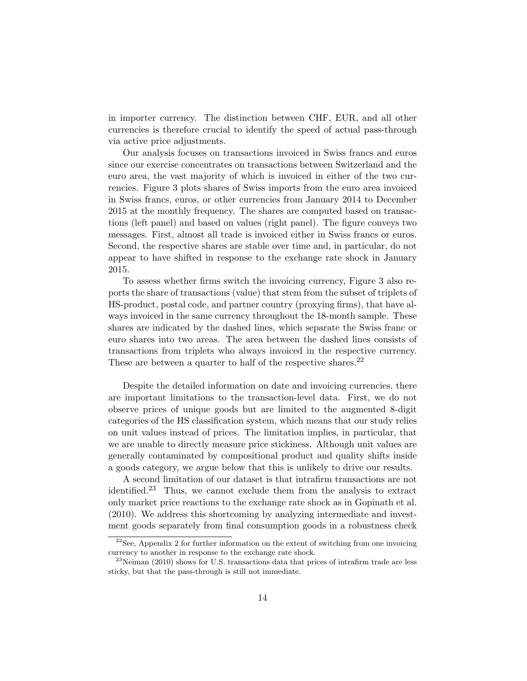in importer currency. The distinction between CHF, EUR, and all other currencies is therefore crucial to identify the speed of actual pass-through via active price adjustments.

Our analysis focuses on transactions invoiced in Swiss francs and euros since our exercise concentrates on transactions between Switzerland and the euro area, the vast majority of which is invoiced in either of the two currencies. Figure 3 plots shares of Swiss imports from the euro area invoiced in Swiss francs, euros, or other currencies from January 2014 to December 2015 at the monthly frequency. The shares are computed based on transactions (left panel) and based on values (right panel). The figure conveys two messages. First, almost all trade is invoiced either in Swiss francs or euros. Second, the respective shares are stable over time and, in particular, do not appear to have shifted in response to the exchange rate shock in January 2015.

To assess whether firms switch the invoicing currency, Figure 3 also reports the share of transactions (value) that stem from the subset of triplets of HS-product, postal code, and partner country (proxying firms), that have always invoiced in the same currency throughout the 18-month sample. These shares are indicated by the dashed lines, which separate the Swiss franc or euro shares into two areas. The area between the dashed lines consists of transactions from triplets who always invoiced in the respective currency. These are between a quarter to half of the respective shares.<sup>22</sup>

Despite the detailed information on date and invoicing currencies, there are important limitations to the transaction-level data. First, we do not observe prices of unique goods but are limited to the augmented 8-digit categories of the HS classification system, which means that our study relies on unit values instead of prices. The limitation implies, in particular, that we are unable to directly measure price stickiness. Although unit values are generally contaminated by compositional product and quality shifts inside a goods category, we argue below that this is unlikely to drive our results.

A second limitation of our dataset is that intrafirm transactions are not identified.<sup>23</sup> Thus, we cannot exclude them from the analysis to extract only market price reactions to the exchange rate shock as in Gopinath et al. (2010). We address this shortcoming by analyzing intermediate and investment goods separately from final consumption goods in a robustness check

 $2^{22}$ See, Appendix 2 for further information on the extent of switching from one invoicing currency to another in response to the exchange rate shock.

 $^{23}$ Neiman (2010) shows for U.S. transactions data that prices of intrafirm trade are less sticky, but that the pass-through is still not immediate.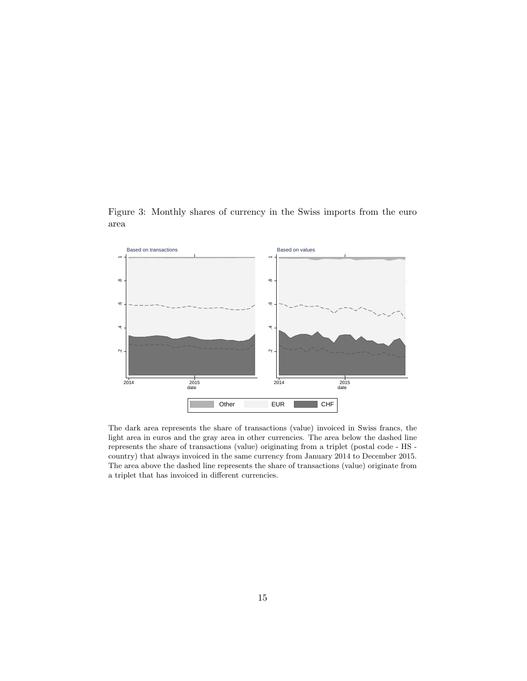



The dark area represents the share of transactions (value) invoiced in Swiss francs, the light area in euros and the gray area in other currencies. The area below the dashed line represents the share of transactions (value) originating from a triplet (postal code - HS country) that always invoiced in the same currency from January 2014 to December 2015. The area above the dashed line represents the share of transactions (value) originate from a triplet that has invoiced in different currencies.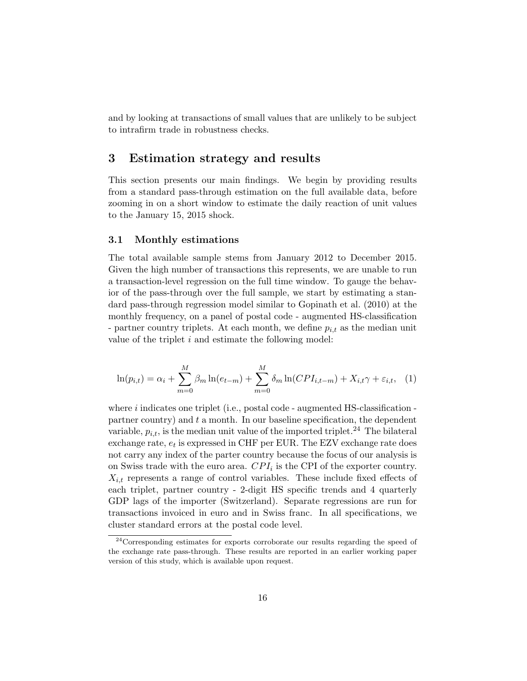and by looking at transactions of small values that are unlikely to be subject to intrafirm trade in robustness checks.

# 3 Estimation strategy and results

This section presents our main findings. We begin by providing results from a standard pass-through estimation on the full available data, before zooming in on a short window to estimate the daily reaction of unit values to the January 15, 2015 shock.

#### 3.1 Monthly estimations

The total available sample stems from January 2012 to December 2015. Given the high number of transactions this represents, we are unable to run a transaction-level regression on the full time window. To gauge the behavior of the pass-through over the full sample, we start by estimating a standard pass-through regression model similar to Gopinath et al. (2010) at the monthly frequency, on a panel of postal code - augmented HS-classification - partner country triplets. At each month, we define  $p_{i,t}$  as the median unit value of the triplet  $i$  and estimate the following model:

$$
\ln(p_{i,t}) = \alpha_i + \sum_{m=0}^{M} \beta_m \ln(e_{t-m}) + \sum_{m=0}^{M} \delta_m \ln(CPI_{i,t-m}) + X_{i,t}\gamma + \varepsilon_{i,t}, \quad (1)
$$

where  $i$  indicates one triplet (i.e., postal code - augmented HS-classification partner country) and  $t$  a month. In our baseline specification, the dependent variable,  $p_{i,t}$ , is the median unit value of the imported triplet.<sup>24</sup> The bilateral exchange rate,  $e_t$  is expressed in CHF per EUR. The EZV exchange rate does not carry any index of the parter country because the focus of our analysis is on Swiss trade with the euro area.  $CPI_i$  is the CPI of the exporter country.  $X_{i,t}$  represents a range of control variables. These include fixed effects of each triplet, partner country - 2-digit HS specific trends and 4 quarterly GDP lags of the importer (Switzerland). Separate regressions are run for transactions invoiced in euro and in Swiss franc. In all specifications, we cluster standard errors at the postal code level.

<sup>24</sup>Corresponding estimates for exports corroborate our results regarding the speed of the exchange rate pass-through. These results are reported in an earlier working paper version of this study, which is available upon request.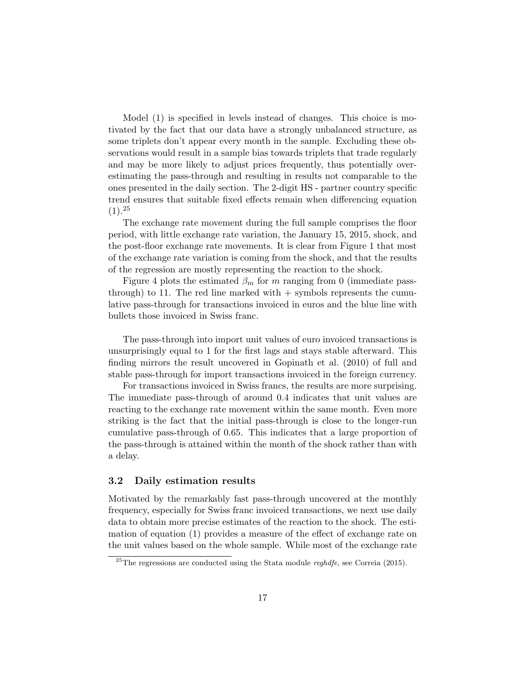Model (1) is specified in levels instead of changes. This choice is motivated by the fact that our data have a strongly unbalanced structure, as some triplets don't appear every month in the sample. Excluding these observations would result in a sample bias towards triplets that trade regularly and may be more likely to adjust prices frequently, thus potentially overestimating the pass-through and resulting in results not comparable to the ones presented in the daily section. The 2-digit HS - partner country specific trend ensures that suitable fixed effects remain when differencing equation  $(1).^{25}$ 

The exchange rate movement during the full sample comprises the floor period, with little exchange rate variation, the January 15, 2015, shock, and the post-floor exchange rate movements. It is clear from Figure 1 that most of the exchange rate variation is coming from the shock, and that the results of the regression are mostly representing the reaction to the shock.

Figure 4 plots the estimated  $\beta_m$  for m ranging from 0 (immediate passthrough) to 11. The red line marked with  $+$  symbols represents the cumulative pass-through for transactions invoiced in euros and the blue line with bullets those invoiced in Swiss franc.

The pass-through into import unit values of euro invoiced transactions is unsurprisingly equal to 1 for the first lags and stays stable afterward. This finding mirrors the result uncovered in Gopinath et al. (2010) of full and stable pass-through for import transactions invoiced in the foreign currency.

For transactions invoiced in Swiss francs, the results are more surprising. The immediate pass-through of around 0.4 indicates that unit values are reacting to the exchange rate movement within the same month. Even more striking is the fact that the initial pass-through is close to the longer-run cumulative pass-through of 0.65. This indicates that a large proportion of the pass-through is attained within the month of the shock rather than with a delay.

#### 3.2 Daily estimation results

Motivated by the remarkably fast pass-through uncovered at the monthly frequency, especially for Swiss franc invoiced transactions, we next use daily data to obtain more precise estimates of the reaction to the shock. The estimation of equation (1) provides a measure of the effect of exchange rate on the unit values based on the whole sample. While most of the exchange rate

 $^{25}$ The regressions are conducted using the Stata module *reghdfe*, see Correia (2015).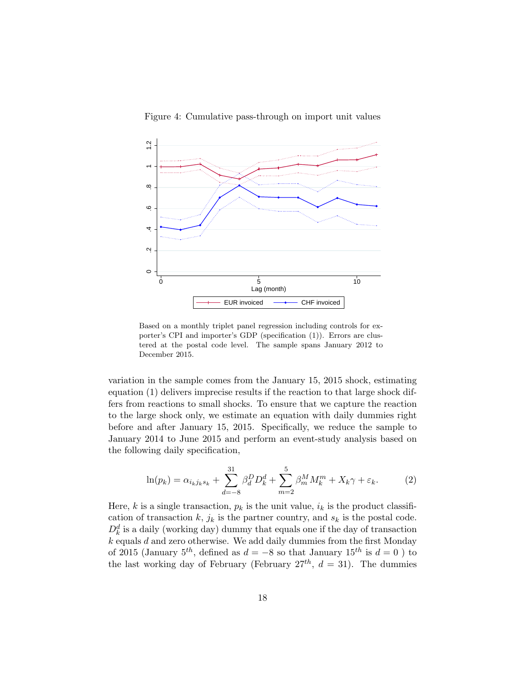

Figure 4: Cumulative pass-through on import unit values

Based on a monthly triplet panel regression including controls for exporter's CPI and importer's GDP (specification (1)). Errors are clustered at the postal code level. The sample spans January 2012 to December 2015.

variation in the sample comes from the January 15, 2015 shock, estimating equation (1) delivers imprecise results if the reaction to that large shock differs from reactions to small shocks. To ensure that we capture the reaction to the large shock only, we estimate an equation with daily dummies right before and after January 15, 2015. Specifically, we reduce the sample to January 2014 to June 2015 and perform an event-study analysis based on the following daily specification,

$$
\ln(p_k) = \alpha_{i_k j_k s_k} + \sum_{d=-8}^{31} \beta_d^D D_k^d + \sum_{m=2}^5 \beta_m^M M_k^m + X_k \gamma + \varepsilon_k.
$$
 (2)

Here, k is a single transaction,  $p_k$  is the unit value,  $i_k$  is the product classification of transaction k,  $j_k$  is the partner country, and  $s_k$  is the postal code.  $D_k^d$  is a daily (working day) dummy that equals one if the day of transaction  $k$  equals  $d$  and zero otherwise. We add daily dummies from the first Monday of 2015 (January 5<sup>th</sup>, defined as  $d = -8$  so that January 15<sup>th</sup> is  $d = 0$ ) to the last working day of February (February  $27^{th}$ ,  $d = 31$ ). The dummies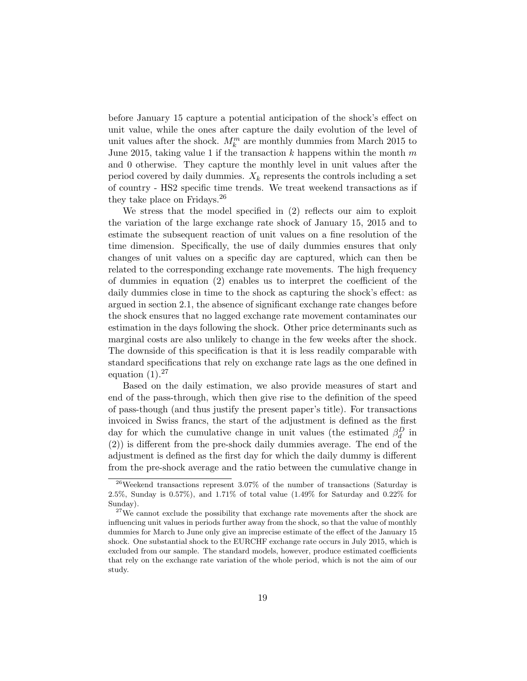before January 15 capture a potential anticipation of the shock's effect on unit value, while the ones after capture the daily evolution of the level of unit values after the shock.  $M_k^m$  are monthly dummies from March 2015 to June 2015, taking value 1 if the transaction  $k$  happens within the month  $m$ and 0 otherwise. They capture the monthly level in unit values after the period covered by daily dummies.  $X_k$  represents the controls including a set of country - HS2 specific time trends. We treat weekend transactions as if they take place on Fridays.<sup>26</sup>

We stress that the model specified in (2) reflects our aim to exploit the variation of the large exchange rate shock of January 15, 2015 and to estimate the subsequent reaction of unit values on a fine resolution of the time dimension. Specifically, the use of daily dummies ensures that only changes of unit values on a specific day are captured, which can then be related to the corresponding exchange rate movements. The high frequency of dummies in equation (2) enables us to interpret the coefficient of the daily dummies close in time to the shock as capturing the shock's effect: as argued in section 2.1, the absence of significant exchange rate changes before the shock ensures that no lagged exchange rate movement contaminates our estimation in the days following the shock. Other price determinants such as marginal costs are also unlikely to change in the few weeks after the shock. The downside of this specification is that it is less readily comparable with standard specifications that rely on exchange rate lags as the one defined in equation  $(1).^{27}$ 

Based on the daily estimation, we also provide measures of start and end of the pass-through, which then give rise to the definition of the speed of pass-though (and thus justify the present paper's title). For transactions invoiced in Swiss francs, the start of the adjustment is defined as the first day for which the cumulative change in unit values (the estimated  $\beta_d^D$  in (2)) is different from the pre-shock daily dummies average. The end of the adjustment is defined as the first day for which the daily dummy is different from the pre-shock average and the ratio between the cumulative change in

<sup>&</sup>lt;sup>26</sup>Weekend transactions represent  $3.07\%$  of the number of transactions (Saturday is 2.5%, Sunday is 0.57%), and 1.71% of total value (1.49% for Saturday and 0.22% for Sunday).

<sup>&</sup>lt;sup>27</sup>We cannot exclude the possibility that exchange rate movements after the shock are influencing unit values in periods further away from the shock, so that the value of monthly dummies for March to June only give an imprecise estimate of the effect of the January 15 shock. One substantial shock to the EURCHF exchange rate occurs in July 2015, which is excluded from our sample. The standard models, however, produce estimated coefficients that rely on the exchange rate variation of the whole period, which is not the aim of our study.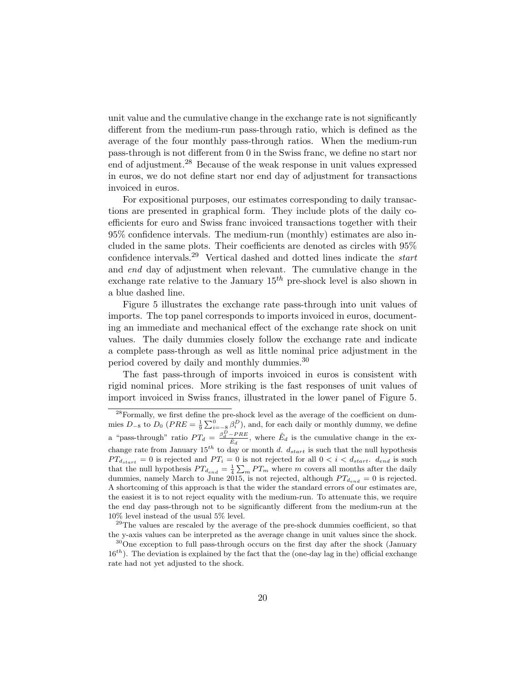unit value and the cumulative change in the exchange rate is not significantly different from the medium-run pass-through ratio, which is defined as the average of the four monthly pass-through ratios. When the medium-run pass-through is not different from 0 in the Swiss franc, we define no start nor end of adjustment.<sup>28</sup> Because of the weak response in unit values expressed in euros, we do not define start nor end day of adjustment for transactions invoiced in euros.

For expositional purposes, our estimates corresponding to daily transactions are presented in graphical form. They include plots of the daily coefficients for euro and Swiss franc invoiced transactions together with their 95% confidence intervals. The medium-run (monthly) estimates are also included in the same plots. Their coefficients are denoted as circles with 95% confidence intervals.<sup>29</sup> Vertical dashed and dotted lines indicate the *start* and end day of adjustment when relevant. The cumulative change in the exchange rate relative to the January  $15^{th}$  pre-shock level is also shown in a blue dashed line.

Figure 5 illustrates the exchange rate pass-through into unit values of imports. The top panel corresponds to imports invoiced in euros, documenting an immediate and mechanical effect of the exchange rate shock on unit values. The daily dummies closely follow the exchange rate and indicate a complete pass-through as well as little nominal price adjustment in the period covered by daily and monthly dummies.<sup>30</sup>

The fast pass-through of imports invoiced in euros is consistent with rigid nominal prices. More striking is the fast responses of unit values of import invoiced in Swiss francs, illustrated in the lower panel of Figure 5.

<sup>&</sup>lt;sup>28</sup>Formally, we first define the pre-shock level as the average of the coefficient on dummies  $D_{-8}$  to  $D_0$  ( $PRE = \frac{1}{9} \sum_{i=-8}^{0} \beta_i^D$ ), and, for each daily or monthly dummy, we define a "pass-through" ratio  $PT_d = \frac{\beta_d^D - PRE}{\hat{E}_d}$ , where  $\hat{E}_d$  is the cumulative change in the exchange rate from January  $15^{th}$  to day or month d.  $d_{start}$  is such that the null hypothesis  $PT_{d_{start}} = 0$  is rejected and  $PT_i = 0$  is not rejected for all  $0 < i < d_{start}$ .  $d_{end}$  is such that the null hypothesis  $PT_{d_{end}} = \frac{1}{4} \sum_{m} PT_m$  where m covers all months after the daily dummies, namely March to June 2015, is not rejected, although  $PT_{d_{end}} = 0$  is rejected. A shortcoming of this approach is that the wider the standard errors of our estimates are, the easiest it is to not reject equality with the medium-run. To attenuate this, we require the end day pass-through not to be significantly different from the medium-run at the 10% level instead of the usual 5% level.

 $29$ The values are rescaled by the average of the pre-shock dummies coefficient, so that the y-axis values can be interpreted as the average change in unit values since the shock.

 $30^{\circ}$ One exception to full pass-through occurs on the first day after the shock (January  $16<sup>th</sup>$ ). The deviation is explained by the fact that the (one-day lag in the) official exchange rate had not yet adjusted to the shock.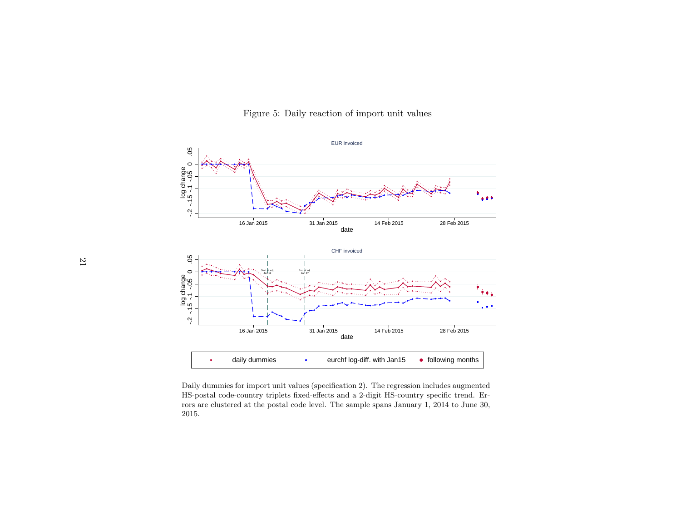

Figure 5: Daily reaction of import unit values

 $s$   $-- --$  eurchf log-diff. with Jan15<br>unit values (specification 2). The regres<br>iplets fixed-effects and a 2-digit HS-co<br>ostal code level. The sample spans Jan **Following months**<br>Daily dummies for import unit values (specification 2). The regression includes augmented<br>HS-postal code-country triplets fixed-effects and a 2-digit HS-country specific trend. Er-<br>rors are clustered at HS-postal code-country triplets fixed-effects and <sup>a</sup> 2-digit HS-country specific trend. Errors are clustered at the postal code level. The sample spans January 1, 2014 to June 30,2015.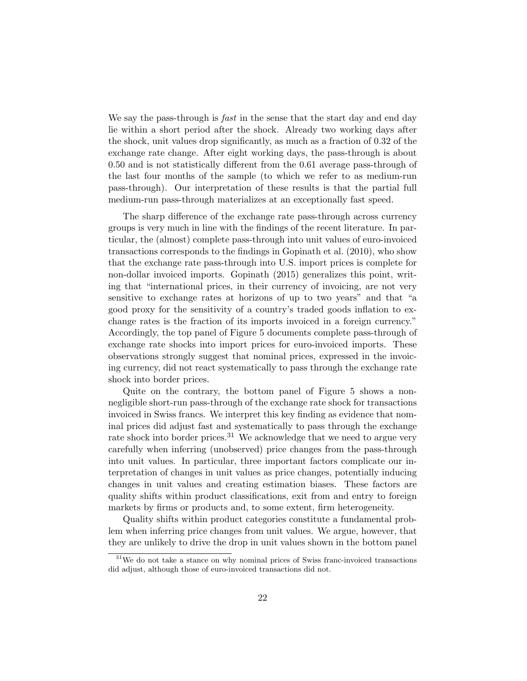We say the pass-through is *fast* in the sense that the start day and end day lie within a short period after the shock. Already two working days after the shock, unit values drop significantly, as much as a fraction of 0.32 of the exchange rate change. After eight working days, the pass-through is about 0.50 and is not statistically different from the 0.61 average pass-through of the last four months of the sample (to which we refer to as medium-run pass-through). Our interpretation of these results is that the partial full medium-run pass-through materializes at an exceptionally fast speed.

The sharp difference of the exchange rate pass-through across currency groups is very much in line with the findings of the recent literature. In particular, the (almost) complete pass-through into unit values of euro-invoiced transactions corresponds to the findings in Gopinath et al. (2010), who show that the exchange rate pass-through into U.S. import prices is complete for non-dollar invoiced imports. Gopinath (2015) generalizes this point, writing that "international prices, in their currency of invoicing, are not very sensitive to exchange rates at horizons of up to two years" and that "a good proxy for the sensitivity of a country's traded goods inflation to exchange rates is the fraction of its imports invoiced in a foreign currency." Accordingly, the top panel of Figure 5 documents complete pass-through of exchange rate shocks into import prices for euro-invoiced imports. These observations strongly suggest that nominal prices, expressed in the invoicing currency, did not react systematically to pass through the exchange rate shock into border prices.

Quite on the contrary, the bottom panel of Figure 5 shows a nonnegligible short-run pass-through of the exchange rate shock for transactions invoiced in Swiss francs. We interpret this key finding as evidence that nominal prices did adjust fast and systematically to pass through the exchange rate shock into border prices.<sup>31</sup> We acknowledge that we need to argue very carefully when inferring (unobserved) price changes from the pass-through into unit values. In particular, three important factors complicate our interpretation of changes in unit values as price changes, potentially inducing changes in unit values and creating estimation biases. These factors are quality shifts within product classifications, exit from and entry to foreign markets by firms or products and, to some extent, firm heterogeneity.

Quality shifts within product categories constitute a fundamental problem when inferring price changes from unit values. We argue, however, that they are unlikely to drive the drop in unit values shown in the bottom panel

 $31$ We do not take a stance on why nominal prices of Swiss franc-invoiced transactions did adjust, although those of euro-invoiced transactions did not.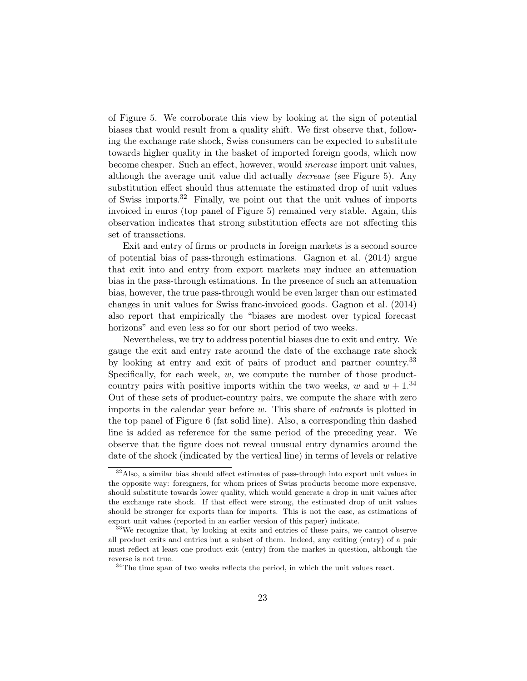of Figure 5. We corroborate this view by looking at the sign of potential biases that would result from a quality shift. We first observe that, following the exchange rate shock, Swiss consumers can be expected to substitute towards higher quality in the basket of imported foreign goods, which now become cheaper. Such an effect, however, would increase import unit values, although the average unit value did actually decrease (see Figure 5). Any substitution effect should thus attenuate the estimated drop of unit values of Swiss imports.<sup>32</sup> Finally, we point out that the unit values of imports invoiced in euros (top panel of Figure 5) remained very stable. Again, this observation indicates that strong substitution effects are not affecting this set of transactions.

Exit and entry of firms or products in foreign markets is a second source of potential bias of pass-through estimations. Gagnon et al. (2014) argue that exit into and entry from export markets may induce an attenuation bias in the pass-through estimations. In the presence of such an attenuation bias, however, the true pass-through would be even larger than our estimated changes in unit values for Swiss franc-invoiced goods. Gagnon et al. (2014) also report that empirically the "biases are modest over typical forecast horizons" and even less so for our short period of two weeks.

Nevertheless, we try to address potential biases due to exit and entry. We gauge the exit and entry rate around the date of the exchange rate shock by looking at entry and exit of pairs of product and partner country.<sup>33</sup> Specifically, for each week,  $w$ , we compute the number of those productcountry pairs with positive imports within the two weeks, w and  $w + 1$ .<sup>34</sup> Out of these sets of product-country pairs, we compute the share with zero imports in the calendar year before w. This share of entrants is plotted in the top panel of Figure 6 (fat solid line). Also, a corresponding thin dashed line is added as reference for the same period of the preceding year. We observe that the figure does not reveal unusual entry dynamics around the date of the shock (indicated by the vertical line) in terms of levels or relative

 $32$ Also, a similar bias should affect estimates of pass-through into export unit values in the opposite way: foreigners, for whom prices of Swiss products become more expensive, should substitute towards lower quality, which would generate a drop in unit values after the exchange rate shock. If that effect were strong, the estimated drop of unit values should be stronger for exports than for imports. This is not the case, as estimations of export unit values (reported in an earlier version of this paper) indicate.

<sup>&</sup>lt;sup>33</sup>We recognize that, by looking at exits and entries of these pairs, we cannot observe all product exits and entries but a subset of them. Indeed, any exiting (entry) of a pair must reflect at least one product exit (entry) from the market in question, although the reverse is not true.

 $34$ The time span of two weeks reflects the period, in which the unit values react.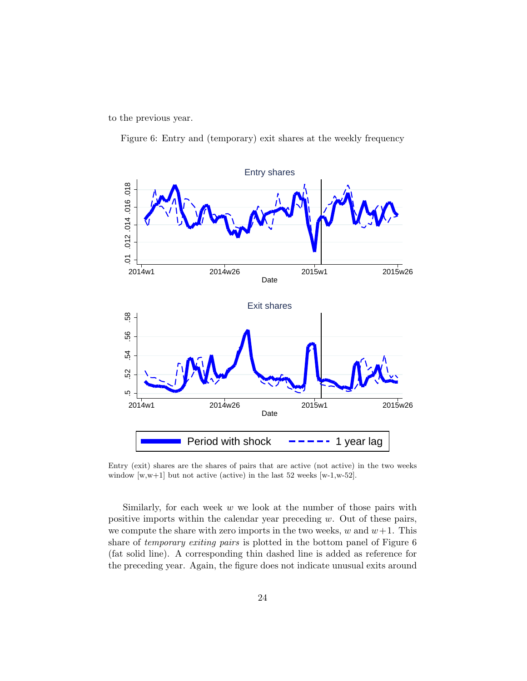to the previous year.

Figure 6: Entry and (temporary) exit shares at the weekly frequency



Entry (exit) shares are the shares of pairs that are active (not active) in the two weeks window [w,w+1] but not active (active) in the last 52 weeks [w-1,w-52].

Similarly, for each week  $w$  we look at the number of those pairs with positive imports within the calendar year preceding w. Out of these pairs, we compute the share with zero imports in the two weeks,  $w$  and  $w+1$ . This share of temporary exiting pairs is plotted in the bottom panel of Figure 6 (fat solid line). A corresponding thin dashed line is added as reference for the preceding year. Again, the figure does not indicate unusual exits around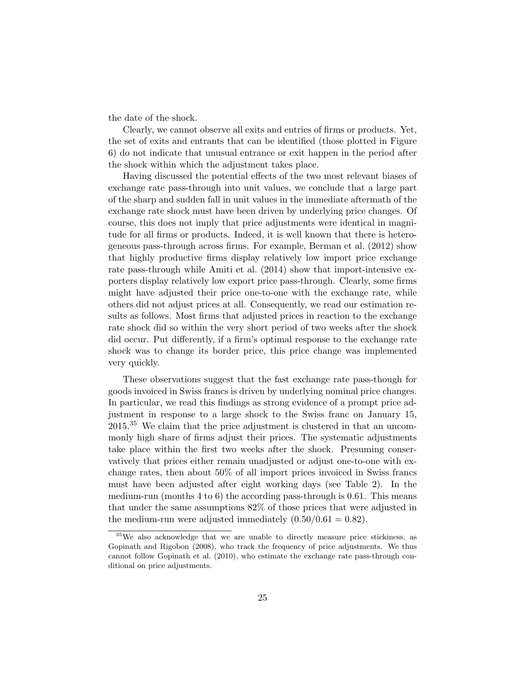the date of the shock.

Clearly, we cannot observe all exits and entries of firms or products. Yet, the set of exits and entrants that can be identified (those plotted in Figure 6) do not indicate that unusual entrance or exit happen in the period after the shock within which the adjustment takes place.

Having discussed the potential effects of the two most relevant biases of exchange rate pass-through into unit values, we conclude that a large part of the sharp and sudden fall in unit values in the immediate aftermath of the exchange rate shock must have been driven by underlying price changes. Of course, this does not imply that price adjustments were identical in magnitude for all firms or products. Indeed, it is well known that there is heterogeneous pass-through across firms. For example, Berman et al. (2012) show that highly productive firms display relatively low import price exchange rate pass-through while Amiti et al. (2014) show that import-intensive exporters display relatively low export price pass-through. Clearly, some firms might have adjusted their price one-to-one with the exchange rate, while others did not adjust prices at all. Consequently, we read our estimation results as follows. Most firms that adjusted prices in reaction to the exchange rate shock did so within the very short period of two weeks after the shock did occur. Put differently, if a firm's optimal response to the exchange rate shock was to change its border price, this price change was implemented very quickly.

These observations suggest that the fast exchange rate pass-though for goods invoiced in Swiss francs is driven by underlying nominal price changes. In particular, we read this findings as strong evidence of a prompt price adjustment in response to a large shock to the Swiss franc on January 15, 2015.<sup>35</sup> We claim that the price adjustment is clustered in that an uncommonly high share of firms adjust their prices. The systematic adjustments take place within the first two weeks after the shock. Presuming conservatively that prices either remain unadjusted or adjust one-to-one with exchange rates, then about 50% of all import prices invoiced in Swiss francs must have been adjusted after eight working days (see Table 2). In the medium-run (months 4 to 6) the according pass-through is 0.61. This means that under the same assumptions 82% of those prices that were adjusted in the medium-run were adjusted immediately  $(0.50/0.61 = 0.82)$ .

<sup>35</sup>We also acknowledge that we are unable to directly measure price stickiness, as Gopinath and Rigobon (2008), who track the frequency of price adjustments. We thus cannot follow Gopinath et al. (2010), who estimate the exchange rate pass-through conditional on price adjustments.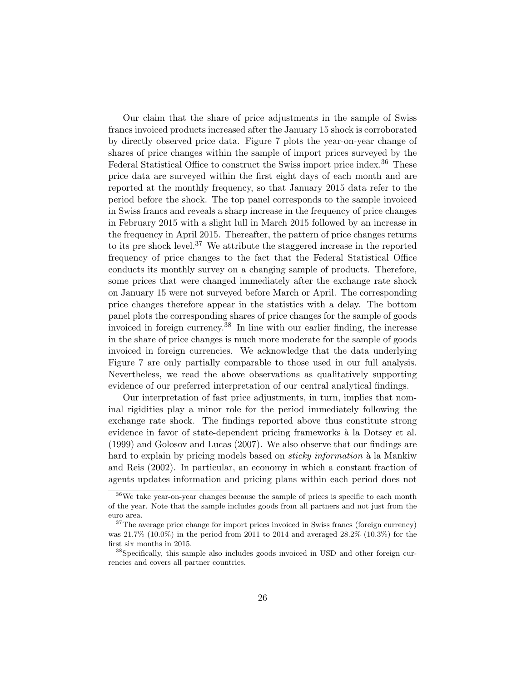Our claim that the share of price adjustments in the sample of Swiss francs invoiced products increased after the January 15 shock is corroborated by directly observed price data. Figure 7 plots the year-on-year change of shares of price changes within the sample of import prices surveyed by the Federal Statistical Office to construct the Swiss import price index.<sup>36</sup> These price data are surveyed within the first eight days of each month and are reported at the monthly frequency, so that January 2015 data refer to the period before the shock. The top panel corresponds to the sample invoiced in Swiss francs and reveals a sharp increase in the frequency of price changes in February 2015 with a slight lull in March 2015 followed by an increase in the frequency in April 2015. Thereafter, the pattern of price changes returns to its pre shock level.<sup>37</sup> We attribute the staggered increase in the reported frequency of price changes to the fact that the Federal Statistical Office conducts its monthly survey on a changing sample of products. Therefore, some prices that were changed immediately after the exchange rate shock on January 15 were not surveyed before March or April. The corresponding price changes therefore appear in the statistics with a delay. The bottom panel plots the corresponding shares of price changes for the sample of goods invoiced in foreign currency.<sup>38</sup> In line with our earlier finding, the increase in the share of price changes is much more moderate for the sample of goods invoiced in foreign currencies. We acknowledge that the data underlying Figure 7 are only partially comparable to those used in our full analysis. Nevertheless, we read the above observations as qualitatively supporting evidence of our preferred interpretation of our central analytical findings.

Our interpretation of fast price adjustments, in turn, implies that nominal rigidities play a minor role for the period immediately following the exchange rate shock. The findings reported above thus constitute strong evidence in favor of state-dependent pricing frameworks à la Dotsey et al. (1999) and Golosov and Lucas (2007). We also observe that our findings are hard to explain by pricing models based on *sticky information* à la Mankiw and Reis (2002). In particular, an economy in which a constant fraction of agents updates information and pricing plans within each period does not

<sup>36</sup>We take year-on-year changes because the sample of prices is specific to each month of the year. Note that the sample includes goods from all partners and not just from the euro area.

 $37$ The average price change for import prices invoiced in Swiss francs (foreign currency) was 21.7% (10.0%) in the period from 2011 to 2014 and averaged 28.2% (10.3%) for the first six months in 2015.

<sup>38</sup>Specifically, this sample also includes goods invoiced in USD and other foreign currencies and covers all partner countries.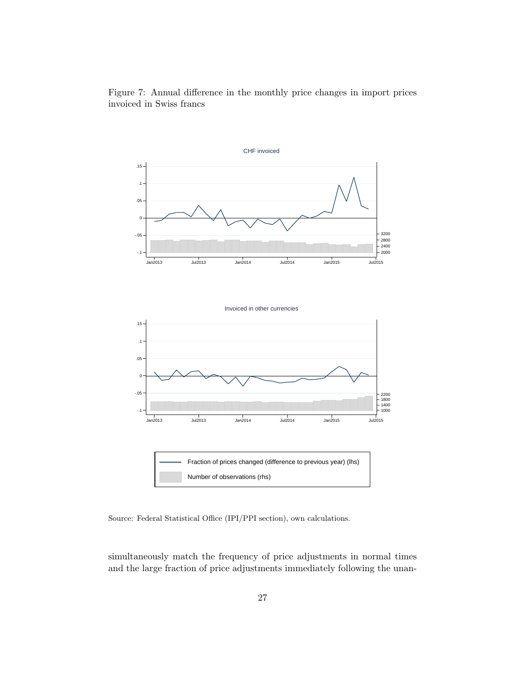![](_page_26_Figure_0.jpeg)

Figure 7: Annual difference in the monthly price changes in import prices invoiced in Swiss francs

Source: Federal Statistical Office (IPI/PPI section), own calculations.

simultaneously match the frequency of price adjustments in normal times and the large fraction of price adjustments immediately following the unan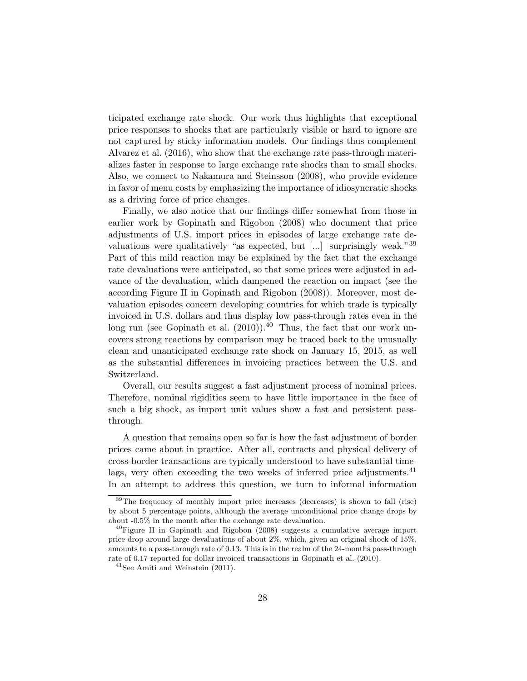ticipated exchange rate shock. Our work thus highlights that exceptional price responses to shocks that are particularly visible or hard to ignore are not captured by sticky information models. Our findings thus complement Alvarez et al. (2016), who show that the exchange rate pass-through materializes faster in response to large exchange rate shocks than to small shocks. Also, we connect to Nakamura and Steinsson (2008), who provide evidence in favor of menu costs by emphasizing the importance of idiosyncratic shocks as a driving force of price changes.

Finally, we also notice that our findings differ somewhat from those in earlier work by Gopinath and Rigobon (2008) who document that price adjustments of U.S. import prices in episodes of large exchange rate devaluations were qualitatively "as expected, but  $\lceil ... \rceil$  surprisingly weak." 39 Part of this mild reaction may be explained by the fact that the exchange rate devaluations were anticipated, so that some prices were adjusted in advance of the devaluation, which dampened the reaction on impact (see the according Figure II in Gopinath and Rigobon (2008)). Moreover, most devaluation episodes concern developing countries for which trade is typically invoiced in U.S. dollars and thus display low pass-through rates even in the long run (see Gopinath et al.  $(2010)$ ).<sup>40</sup> Thus, the fact that our work uncovers strong reactions by comparison may be traced back to the unusually clean and unanticipated exchange rate shock on January 15, 2015, as well as the substantial differences in invoicing practices between the U.S. and Switzerland.

Overall, our results suggest a fast adjustment process of nominal prices. Therefore, nominal rigidities seem to have little importance in the face of such a big shock, as import unit values show a fast and persistent passthrough.

A question that remains open so far is how the fast adjustment of border prices came about in practice. After all, contracts and physical delivery of cross-border transactions are typically understood to have substantial timelags, very often exceeding the two weeks of inferred price adjustments.<sup>41</sup> In an attempt to address this question, we turn to informal information

<sup>&</sup>lt;sup>39</sup>The frequency of monthly import price increases (decreases) is shown to fall (rise) by about 5 percentage points, although the average unconditional price change drops by about -0.5% in the month after the exchange rate devaluation.

 $^{40}$ Figure II in Gopinath and Rigobon (2008) suggests a cumulative average import price drop around large devaluations of about 2%, which, given an original shock of 15%, amounts to a pass-through rate of 0.13. This is in the realm of the 24-months pass-through rate of 0.17 reported for dollar invoiced transactions in Gopinath et al. (2010).

 $41$ See Amiti and Weinstein  $(2011)$ .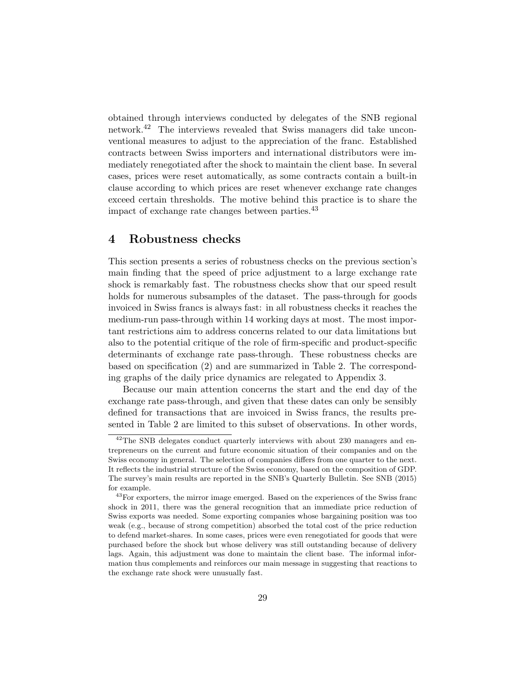obtained through interviews conducted by delegates of the SNB regional network.<sup>42</sup> The interviews revealed that Swiss managers did take unconventional measures to adjust to the appreciation of the franc. Established contracts between Swiss importers and international distributors were immediately renegotiated after the shock to maintain the client base. In several cases, prices were reset automatically, as some contracts contain a built-in clause according to which prices are reset whenever exchange rate changes exceed certain thresholds. The motive behind this practice is to share the impact of exchange rate changes between parties.<sup>43</sup>

### 4 Robustness checks

This section presents a series of robustness checks on the previous section's main finding that the speed of price adjustment to a large exchange rate shock is remarkably fast. The robustness checks show that our speed result holds for numerous subsamples of the dataset. The pass-through for goods invoiced in Swiss francs is always fast: in all robustness checks it reaches the medium-run pass-through within 14 working days at most. The most important restrictions aim to address concerns related to our data limitations but also to the potential critique of the role of firm-specific and product-specific determinants of exchange rate pass-through. These robustness checks are based on specification (2) and are summarized in Table 2. The corresponding graphs of the daily price dynamics are relegated to Appendix 3.

Because our main attention concerns the start and the end day of the exchange rate pass-through, and given that these dates can only be sensibly defined for transactions that are invoiced in Swiss francs, the results presented in Table 2 are limited to this subset of observations. In other words,

 $42$ The SNB delegates conduct quarterly interviews with about 230 managers and entrepreneurs on the current and future economic situation of their companies and on the Swiss economy in general. The selection of companies differs from one quarter to the next. It reflects the industrial structure of the Swiss economy, based on the composition of GDP. The survey's main results are reported in the SNB's Quarterly Bulletin. See SNB (2015) for example.

<sup>&</sup>lt;sup>43</sup>For exporters, the mirror image emerged. Based on the experiences of the Swiss franc shock in 2011, there was the general recognition that an immediate price reduction of Swiss exports was needed. Some exporting companies whose bargaining position was too weak (e.g., because of strong competition) absorbed the total cost of the price reduction to defend market-shares. In some cases, prices were even renegotiated for goods that were purchased before the shock but whose delivery was still outstanding because of delivery lags. Again, this adjustment was done to maintain the client base. The informal information thus complements and reinforces our main message in suggesting that reactions to the exchange rate shock were unusually fast.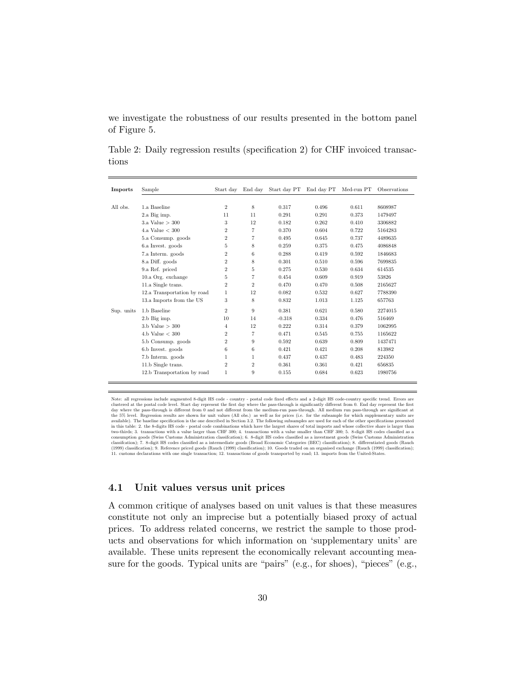we investigate the robustness of our results presented in the bottom panel of Figure 5.

Table 2: Daily regression results (specification 2) for CHF invoiced transactions

| <b>Imports</b> | Sample                      | Start day      |                | End day Start day PT End day PT Med-run PT |       |       | Observations |
|----------------|-----------------------------|----------------|----------------|--------------------------------------------|-------|-------|--------------|
|                |                             |                |                |                                            |       |       |              |
| All obs.       | 1.a Baseline                | $\overline{2}$ | 8              | 0.317                                      | 0.496 | 0.611 | 8608987      |
|                | 2.a Big imp.                | 11             | 11             | 0.291                                      | 0.291 | 0.373 | 1479497      |
|                | 3.a Value $>$ 300           | 3              | 12             | 0.182                                      | 0.262 | 0.410 | 3306882      |
|                | 4.a Value $<$ 300           | $\overline{2}$ | $\overline{7}$ | 0.370                                      | 0.604 | 0.722 | 5164283      |
|                | 5.a Consump. goods          | $\overline{2}$ | 7              | 0.495                                      | 0.645 | 0.737 | 4489635      |
|                | 6.a Invest. goods           | 5              | 8              | 0.259                                      | 0.375 | 0.475 | 4086848      |
|                | 7.a Interm. goods           | $\overline{2}$ | 6              | 0.288                                      | 0.419 | 0.592 | 1846683      |
|                | 8.a Diff. goods             | $\overline{2}$ | 8              | 0.301                                      | 0.510 | 0.596 | 7699835      |
|                | 9.a Ref. priced             | $\overline{2}$ | 5              | 0.275                                      | 0.530 | 0.634 | 614535       |
|                | 10.a Org. exchange          | 5              | 7              | 0.454                                      | 0.609 | 0.919 | 53826        |
|                | 11.a Single trans.          | $\overline{2}$ | $\overline{2}$ | 0.470                                      | 0.470 | 0.508 | 2165627      |
|                | 12.a Transportation by road | 1              | 12             | 0.082                                      | 0.532 | 0.627 | 7788390      |
|                | 13.a Imports from the US    | 3              | 8              | 0.832                                      | 1.013 | 1.125 | 657763       |
| Sup. units     | 1.b Baseline                | $\overline{2}$ | 9              | 0.381                                      | 0.621 | 0.580 | 2274015      |
|                | 2.b Big imp.                | 10             | 14             | $-0.318$                                   | 0.334 | 0.476 | 516469       |
|                | $3.b$ Value $>300$          | $\overline{4}$ | 12             | 0.222                                      | 0.314 | 0.379 | 1062995      |
|                | 4.b Value $<$ 300           | $\overline{2}$ | $\overline{7}$ | 0.471                                      | 0.545 | 0.755 | 1165622      |
|                | 5.b Consump. goods          | $\overline{2}$ | 9              | 0.592                                      | 0.639 | 0.809 | 1437471      |
|                | 6.b Invest. goods           | 6              | 6              | 0.421                                      | 0.421 | 0.208 | 813982       |
|                | 7.b Interm. goods           | 1              | 1              | 0.437                                      | 0.437 | 0.483 | 224350       |
|                | 11.b Single trans.          | $\overline{2}$ | $\overline{2}$ | 0.361                                      | 0.361 | 0.421 | 656835       |
|                | 12.b Transportation by road | $\mathbf{1}$   | 9              | 0.155                                      | 0.684 | 0.623 | 1980756      |

Note: all regressions include augmented 8-digit HS code - country - postal code fixed effects and a 2-digit HS code-country specific trend. Errors are Context and registered at the postal code level. Start day represent the first day where the pass-through is significantly different from 0. End day represent the first day vehence and a start day represent the first day w November of the Scheme Constant of the Magnetian classification); 6. 8-digit HS codes classified as a investment goods (Swiss Customs Administration classification); 7. 8-digit HS codes classification); 7. 8-digit HS codes 11. customs declarations with one single transaction; 12. transactions of goods transported by road; 13. imports from the United-States.

#### 4.1 Unit values versus unit prices

A common critique of analyses based on unit values is that these measures constitute not only an imprecise but a potentially biased proxy of actual prices. To address related concerns, we restrict the sample to those products and observations for which information on 'supplementary units' are available. These units represent the economically relevant accounting measure for the goods. Typical units are "pairs" (e.g., for shoes), "pieces" (e.g.,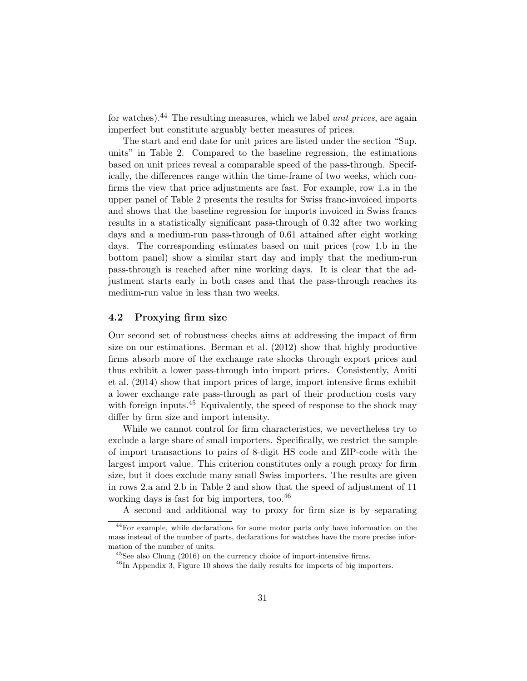for watches).<sup>44</sup> The resulting measures, which we label *unit prices*, are again imperfect but constitute arguably better measures of prices.

The start and end date for unit prices are listed under the section "Sup. units" in Table 2. Compared to the baseline regression, the estimations based on unit prices reveal a comparable speed of the pass-through. Specifically, the differences range within the time-frame of two weeks, which confirms the view that price adjustments are fast. For example, row 1.a in the upper panel of Table 2 presents the results for Swiss franc-invoiced imports and shows that the baseline regression for imports invoiced in Swiss francs results in a statistically significant pass-through of 0.32 after two working days and a medium-run pass-through of 0.61 attained after eight working days. The corresponding estimates based on unit prices (row 1.b in the bottom panel) show a similar start day and imply that the medium-run pass-through is reached after nine working days. It is clear that the adjustment starts early in both cases and that the pass-through reaches its medium-run value in less than two weeks.

#### 4.2 Proxying firm size

Our second set of robustness checks aims at addressing the impact of firm size on our estimations. Berman et al. (2012) show that highly productive firms absorb more of the exchange rate shocks through export prices and thus exhibit a lower pass-through into import prices. Consistently, Amiti et al. (2014) show that import prices of large, import intensive firms exhibit a lower exchange rate pass-through as part of their production costs vary with foreign inputs.<sup>45</sup> Equivalently, the speed of response to the shock may differ by firm size and import intensity.

While we cannot control for firm characteristics, we nevertheless try to exclude a large share of small importers. Specifically, we restrict the sample of import transactions to pairs of 8-digit HS code and ZIP-code with the largest import value. This criterion constitutes only a rough proxy for firm size, but it does exclude many small Swiss importers. The results are given in rows 2.a and 2.b in Table 2 and show that the speed of adjustment of 11 working days is fast for big importers, too. $46$ 

A second and additional way to proxy for firm size is by separating

<sup>&</sup>lt;sup>44</sup>For example, while declarations for some motor parts only have information on the mass instead of the number of parts, declarations for watches have the more precise information of the number of units.

 $^{45}$ See also Chung (2016) on the currency choice of import-intensive firms.

 $^{46}$ In Appendix 3, Figure 10 shows the daily results for imports of big importers.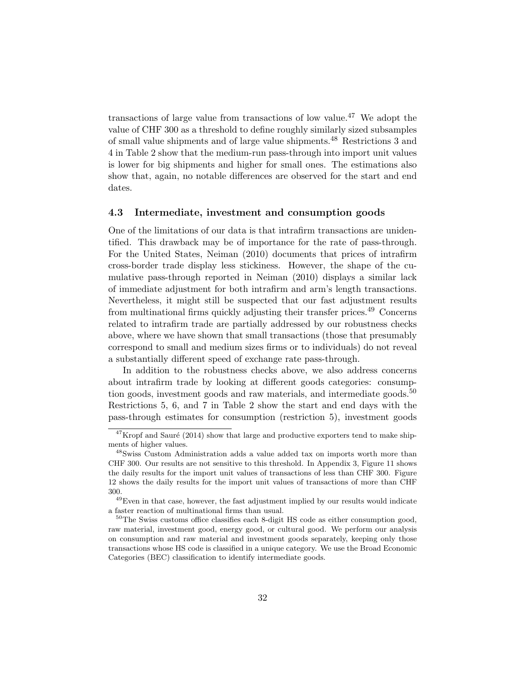transactions of large value from transactions of low value.<sup>47</sup> We adopt the value of CHF 300 as a threshold to define roughly similarly sized subsamples of small value shipments and of large value shipments.<sup>48</sup> Restrictions 3 and 4 in Table 2 show that the medium-run pass-through into import unit values is lower for big shipments and higher for small ones. The estimations also show that, again, no notable differences are observed for the start and end dates.

#### 4.3 Intermediate, investment and consumption goods

One of the limitations of our data is that intrafirm transactions are unidentified. This drawback may be of importance for the rate of pass-through. For the United States, Neiman (2010) documents that prices of intrafirm cross-border trade display less stickiness. However, the shape of the cumulative pass-through reported in Neiman (2010) displays a similar lack of immediate adjustment for both intrafirm and arm's length transactions. Nevertheless, it might still be suspected that our fast adjustment results from multinational firms quickly adjusting their transfer prices.<sup>49</sup> Concerns related to intrafirm trade are partially addressed by our robustness checks above, where we have shown that small transactions (those that presumably correspond to small and medium sizes firms or to individuals) do not reveal a substantially different speed of exchange rate pass-through.

In addition to the robustness checks above, we also address concerns about intrafirm trade by looking at different goods categories: consumption goods, investment goods and raw materials, and intermediate goods.<sup>50</sup> Restrictions 5, 6, and 7 in Table 2 show the start and end days with the pass-through estimates for consumption (restriction 5), investment goods

 $47$ Kropf and Sauré (2014) show that large and productive exporters tend to make shipments of higher values.

<sup>48</sup>Swiss Custom Administration adds a value added tax on imports worth more than CHF 300. Our results are not sensitive to this threshold. In Appendix 3, Figure 11 shows the daily results for the import unit values of transactions of less than CHF 300. Figure 12 shows the daily results for the import unit values of transactions of more than CHF 300.

 $^{49}\rm{Even}$  in that case, however, the fast adjustment implied by our results would indicate a faster reaction of multinational firms than usual.

 $50$ The Swiss customs office classifies each 8-digit HS code as either consumption good, raw material, investment good, energy good, or cultural good. We perform our analysis on consumption and raw material and investment goods separately, keeping only those transactions whose HS code is classified in a unique category. We use the Broad Economic Categories (BEC) classification to identify intermediate goods.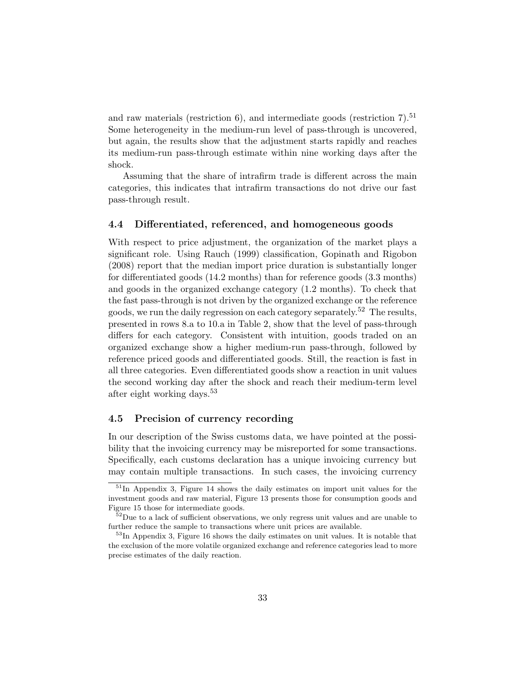and raw materials (restriction  $6$ ), and intermediate goods (restriction  $7<sup>51</sup>$ Some heterogeneity in the medium-run level of pass-through is uncovered, but again, the results show that the adjustment starts rapidly and reaches its medium-run pass-through estimate within nine working days after the shock.

Assuming that the share of intrafirm trade is different across the main categories, this indicates that intrafirm transactions do not drive our fast pass-through result.

#### 4.4 Differentiated, referenced, and homogeneous goods

With respect to price adjustment, the organization of the market plays a significant role. Using Rauch (1999) classification, Gopinath and Rigobon (2008) report that the median import price duration is substantially longer for differentiated goods (14.2 months) than for reference goods (3.3 months) and goods in the organized exchange category (1.2 months). To check that the fast pass-through is not driven by the organized exchange or the reference goods, we run the daily regression on each category separately.<sup>52</sup> The results, presented in rows 8.a to 10.a in Table 2, show that the level of pass-through differs for each category. Consistent with intuition, goods traded on an organized exchange show a higher medium-run pass-through, followed by reference priced goods and differentiated goods. Still, the reaction is fast in all three categories. Even differentiated goods show a reaction in unit values the second working day after the shock and reach their medium-term level after eight working days.<sup>53</sup>

#### 4.5 Precision of currency recording

In our description of the Swiss customs data, we have pointed at the possibility that the invoicing currency may be misreported for some transactions. Specifically, each customs declaration has a unique invoicing currency but may contain multiple transactions. In such cases, the invoicing currency

 $51$ In Appendix 3, Figure 14 shows the daily estimates on import unit values for the investment goods and raw material, Figure 13 presents those for consumption goods and Figure 15 those for intermediate goods.

 $52$ Due to a lack of sufficient observations, we only regress unit values and are unable to further reduce the sample to transactions where unit prices are available.

<sup>&</sup>lt;sup>53</sup>In Appendix 3, Figure 16 shows the daily estimates on unit values. It is notable that the exclusion of the more volatile organized exchange and reference categories lead to more precise estimates of the daily reaction.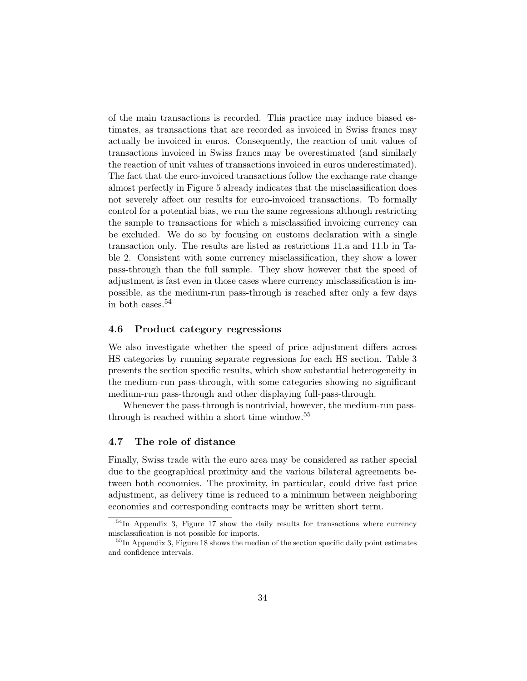of the main transactions is recorded. This practice may induce biased estimates, as transactions that are recorded as invoiced in Swiss francs may actually be invoiced in euros. Consequently, the reaction of unit values of transactions invoiced in Swiss francs may be overestimated (and similarly the reaction of unit values of transactions invoiced in euros underestimated). The fact that the euro-invoiced transactions follow the exchange rate change almost perfectly in Figure 5 already indicates that the misclassification does not severely affect our results for euro-invoiced transactions. To formally control for a potential bias, we run the same regressions although restricting the sample to transactions for which a misclassified invoicing currency can be excluded. We do so by focusing on customs declaration with a single transaction only. The results are listed as restrictions 11.a and 11.b in Table 2. Consistent with some currency misclassification, they show a lower pass-through than the full sample. They show however that the speed of adjustment is fast even in those cases where currency misclassification is impossible, as the medium-run pass-through is reached after only a few days in both cases.<sup>54</sup>

#### 4.6 Product category regressions

We also investigate whether the speed of price adjustment differs across HS categories by running separate regressions for each HS section. Table 3 presents the section specific results, which show substantial heterogeneity in the medium-run pass-through, with some categories showing no significant medium-run pass-through and other displaying full-pass-through.

Whenever the pass-through is nontrivial, however, the medium-run passthrough is reached within a short time window.<sup>55</sup>

### 4.7 The role of distance

Finally, Swiss trade with the euro area may be considered as rather special due to the geographical proximity and the various bilateral agreements between both economies. The proximity, in particular, could drive fast price adjustment, as delivery time is reduced to a minimum between neighboring economies and corresponding contracts may be written short term.

 $54$ In Appendix 3, Figure 17 show the daily results for transactions where currency misclassification is not possible for imports.

<sup>&</sup>lt;sup>55</sup>In Appendix 3, Figure 18 shows the median of the section specific daily point estimates and confidence intervals.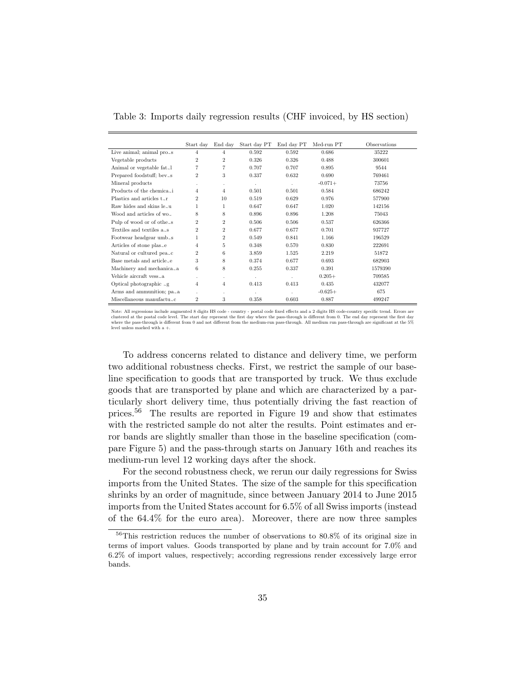Table 3: Imports daily regression results (CHF invoiced, by HS section)

|                                                       | Start day      | End day        | Start day PT | End day PT | Med-run PT | Observations |
|-------------------------------------------------------|----------------|----------------|--------------|------------|------------|--------------|
| Live animal; animal $pro\_s$                          | 4              | $\overline{4}$ | 0.592        | 0.592      | 0.686      | 35222        |
| Vegetable products                                    | $\overline{2}$ | $\overline{2}$ | 0.326        | 0.326      | 0.488      | 300601       |
| Animal or vegetable fat. 1                            | 7              | 7              | 0.707        | 0.707      | 0.895      | 9544         |
| Prepared foodstuff; bey <sub>~S</sub>                 | $\overline{2}$ | 3              | 0.337        | 0.632      | 0.690      | 769461       |
| Mineral products                                      | ×.             | ٠              | $\epsilon$   |            | $-0.071+$  | 73756        |
| Products of the chemica                               | 4              | $\overline{4}$ | 0.501        | 0.501      | 0.584      | 686242       |
| Plastics and articles t.r                             | $\overline{2}$ | 10             | 0.519        | 0.629      | 0.976      | 577900       |
| Raw hides and skins $le_{\sim} u$                     | 1              | 1              | 0.647        | 0.647      | 1.020      | 142156       |
| Wood and articles of $wo_{\sim}$                      | 8              | 8              | 0.896        | 0.896      | 1.208      | 75043        |
| Pulp of wood or of othe <sub><math>\sim</math>S</sub> | $\overline{2}$ | $\overline{2}$ | 0.506        | 0.506      | 0.537      | 626366       |
| Textiles and textiles $a_{\sim} s$                    | $\overline{2}$ | $\overline{2}$ | 0.677        | 0.677      | 0.701      | 937727       |
| Footwear headgear umb <sub>~8</sub>                   | 1              | $\overline{2}$ | 0.549        | 0.841      | 1.166      | 196529       |
| Articles of stone plas-e                              | 4              | 5              | 0.348        | 0.570      | 0.830      | 222691       |
| Natural or cultured pea <sub>cc</sub>                 | $\overline{2}$ | 6              | 3.859        | 1.525      | 2.219      | 51872        |
| Base metals and articlee                              | 3              | 8              | 0.374        | 0.677      | 0.693      | 682903       |
| Machinery and mechanica $_{\sim}$ a                   | 6              | 8              | 0.255        | 0.337      | 0.391      | 1579390      |
| Vehicle aircraft vessa                                | ×.             | ٠              | ×            |            | $0.205+$   | 709585       |
| Optical photographic $\Box$ g                         | 4              | $\overline{4}$ | 0.413        | 0.413      | 0.435      | 432077       |
| Arms and ammunition; $pa_{\sim}a$                     | à.             | ٠              |              |            | $-0.625+$  | 675          |
| Miscellaneous manufactuc                              | $\overline{2}$ | 3              | 0.358        | 0.603      | 0.887      | 499247       |

Note: All regressions include augmented 8 digits HS code - country - postal code fixed effects and a 2 digits HS code-country specific trend. Errors are clustered at the postal code level. The start day represent the first day where the pass-through is different from 0. The end day represent the first day<br>where the pass-through is different from 0 and not different from th level unless marked with a +.

To address concerns related to distance and delivery time, we perform two additional robustness checks. First, we restrict the sample of our baseline specification to goods that are transported by truck. We thus exclude goods that are transported by plane and which are characterized by a particularly short delivery time, thus potentially driving the fast reaction of prices.<sup>56</sup> The results are reported in Figure 19 and show that estimates with the restricted sample do not alter the results. Point estimates and error bands are slightly smaller than those in the baseline specification (compare Figure 5) and the pass-through starts on January 16th and reaches its medium-run level 12 working days after the shock.

For the second robustness check, we rerun our daily regressions for Swiss imports from the United States. The size of the sample for this specification shrinks by an order of magnitude, since between January 2014 to June 2015 imports from the United States account for 6.5% of all Swiss imports (instead of the 64.4% for the euro area). Moreover, there are now three samples

<sup>56</sup>This restriction reduces the number of observations to 80.8% of its original size in terms of import values. Goods transported by plane and by train account for 7.0% and 6.2% of import values, respectively; according regressions render excessively large error bands.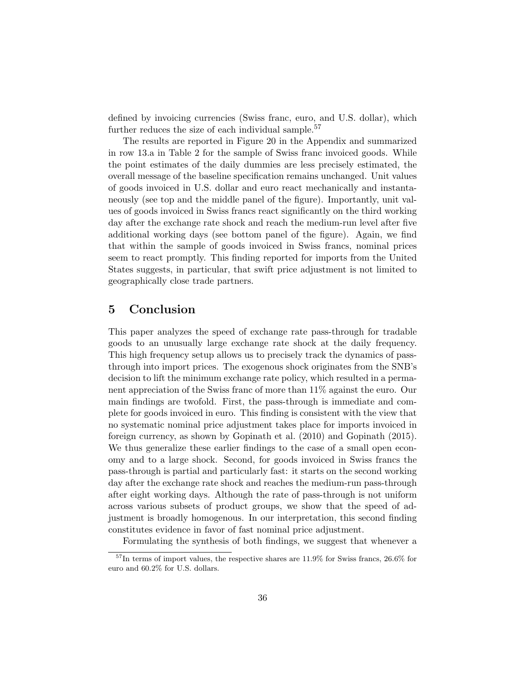defined by invoicing currencies (Swiss franc, euro, and U.S. dollar), which further reduces the size of each individual sample.<sup>57</sup>

The results are reported in Figure 20 in the Appendix and summarized in row 13.a in Table 2 for the sample of Swiss franc invoiced goods. While the point estimates of the daily dummies are less precisely estimated, the overall message of the baseline specification remains unchanged. Unit values of goods invoiced in U.S. dollar and euro react mechanically and instantaneously (see top and the middle panel of the figure). Importantly, unit values of goods invoiced in Swiss francs react significantly on the third working day after the exchange rate shock and reach the medium-run level after five additional working days (see bottom panel of the figure). Again, we find that within the sample of goods invoiced in Swiss francs, nominal prices seem to react promptly. This finding reported for imports from the United States suggests, in particular, that swift price adjustment is not limited to geographically close trade partners.

# 5 Conclusion

This paper analyzes the speed of exchange rate pass-through for tradable goods to an unusually large exchange rate shock at the daily frequency. This high frequency setup allows us to precisely track the dynamics of passthrough into import prices. The exogenous shock originates from the SNB's decision to lift the minimum exchange rate policy, which resulted in a permanent appreciation of the Swiss franc of more than 11% against the euro. Our main findings are twofold. First, the pass-through is immediate and complete for goods invoiced in euro. This finding is consistent with the view that no systematic nominal price adjustment takes place for imports invoiced in foreign currency, as shown by Gopinath et al. (2010) and Gopinath (2015). We thus generalize these earlier findings to the case of a small open economy and to a large shock. Second, for goods invoiced in Swiss francs the pass-through is partial and particularly fast: it starts on the second working day after the exchange rate shock and reaches the medium-run pass-through after eight working days. Although the rate of pass-through is not uniform across various subsets of product groups, we show that the speed of adjustment is broadly homogenous. In our interpretation, this second finding constitutes evidence in favor of fast nominal price adjustment.

Formulating the synthesis of both findings, we suggest that whenever a

 $^{57}$ In terms of import values, the respective shares are 11.9% for Swiss francs, 26.6% for euro and 60.2% for U.S. dollars.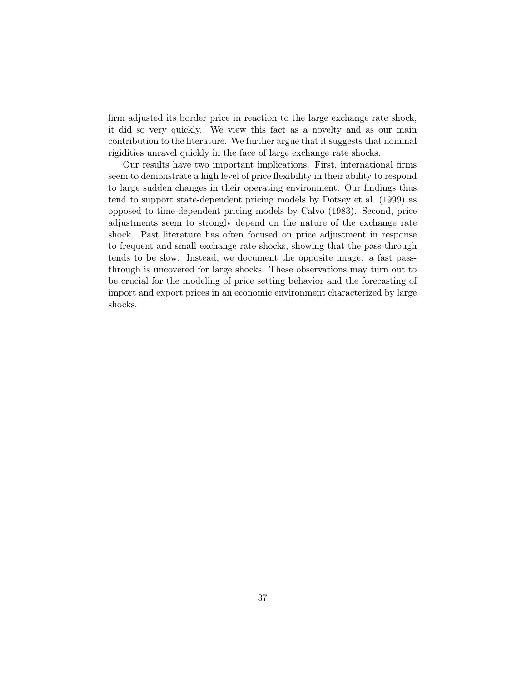firm adjusted its border price in reaction to the large exchange rate shock, it did so very quickly. We view this fact as a novelty and as our main contribution to the literature. We further argue that it suggests that nominal rigidities unravel quickly in the face of large exchange rate shocks.

Our results have two important implications. First, international firms seem to demonstrate a high level of price flexibility in their ability to respond to large sudden changes in their operating environment. Our findings thus tend to support state-dependent pricing models by Dotsey et al. (1999) as opposed to time-dependent pricing models by Calvo (1983). Second, price adjustments seem to strongly depend on the nature of the exchange rate shock. Past literature has often focused on price adjustment in response to frequent and small exchange rate shocks, showing that the pass-through tends to be slow. Instead, we document the opposite image: a fast passthrough is uncovered for large shocks. These observations may turn out to be crucial for the modeling of price setting behavior and the forecasting of import and export prices in an economic environment characterized by large shocks.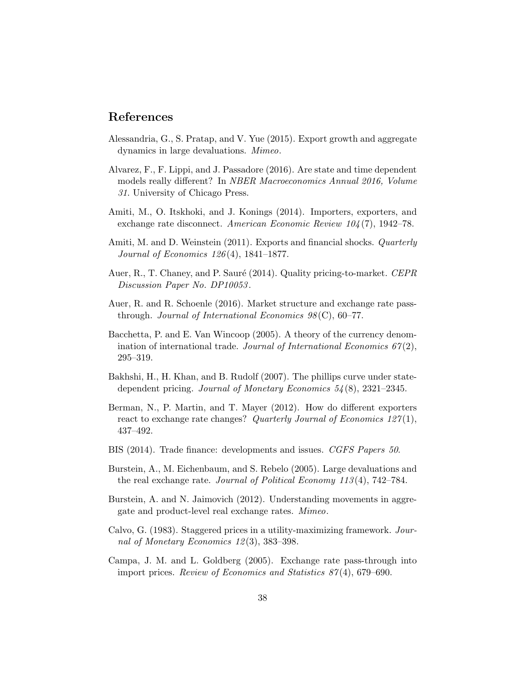# References

- Alessandria, G., S. Pratap, and V. Yue (2015). Export growth and aggregate dynamics in large devaluations. Mimeo.
- Alvarez, F., F. Lippi, and J. Passadore (2016). Are state and time dependent models really different? In NBER Macroeconomics Annual 2016, Volume 31. University of Chicago Press.
- Amiti, M., O. Itskhoki, and J. Konings (2014). Importers, exporters, and exchange rate disconnect. American Economic Review 104 (7), 1942–78.
- Amiti, M. and D. Weinstein (2011). Exports and financial shocks. *Quarterly* Journal of Economics 126 (4), 1841–1877.
- Auer, R., T. Chaney, and P. Sauré (2014). Quality pricing-to-market. CEPR Discussion Paper No. DP10053 .
- Auer, R. and R. Schoenle (2016). Market structure and exchange rate passthrough. Journal of International Economics  $98(\text{C}), 60-77$ .
- Bacchetta, P. and E. Van Wincoop (2005). A theory of the currency denomination of international trade. Journal of International Economics  $67(2)$ , 295–319.
- Bakhshi, H., H. Khan, and B. Rudolf (2007). The phillips curve under statedependent pricing. Journal of Monetary Economics  $54(8)$ , 2321–2345.
- Berman, N., P. Martin, and T. Mayer (2012). How do different exporters react to exchange rate changes? Quarterly Journal of Economics  $127(1)$ , 437–492.
- BIS (2014). Trade finance: developments and issues. CGFS Papers 50.
- Burstein, A., M. Eichenbaum, and S. Rebelo (2005). Large devaluations and the real exchange rate. Journal of Political Economy  $113(4)$ , 742–784.
- Burstein, A. and N. Jaimovich (2012). Understanding movements in aggregate and product-level real exchange rates. Mimeo.
- Calvo, G. (1983). Staggered prices in a utility-maximizing framework. Journal of Monetary Economics 12 (3), 383–398.
- Campa, J. M. and L. Goldberg (2005). Exchange rate pass-through into import prices. Review of Economics and Statistics 87 (4), 679–690.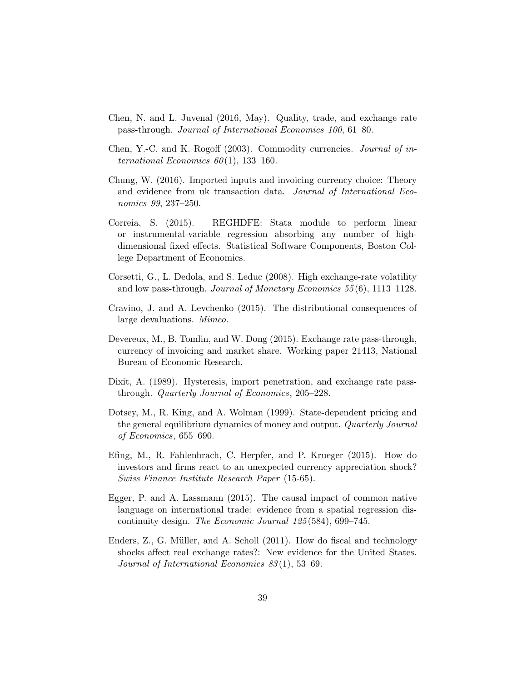- Chen, N. and L. Juvenal (2016, May). Quality, trade, and exchange rate pass-through. Journal of International Economics 100, 61–80.
- Chen, Y.-C. and K. Rogoff (2003). Commodity currencies. Journal of international Economics  $60(1)$ , 133-160.
- Chung, W. (2016). Imported inputs and invoicing currency choice: Theory and evidence from uk transaction data. Journal of International Economics 99, 237–250.
- Correia, S. (2015). REGHDFE: Stata module to perform linear or instrumental-variable regression absorbing any number of highdimensional fixed effects. Statistical Software Components, Boston College Department of Economics.
- Corsetti, G., L. Dedola, and S. Leduc (2008). High exchange-rate volatility and low pass-through. Journal of Monetary Economics 55 (6), 1113–1128.
- Cravino, J. and A. Levchenko (2015). The distributional consequences of large devaluations. Mimeo.
- Devereux, M., B. Tomlin, and W. Dong (2015). Exchange rate pass-through, currency of invoicing and market share. Working paper 21413, National Bureau of Economic Research.
- Dixit, A. (1989). Hysteresis, import penetration, and exchange rate passthrough. Quarterly Journal of Economics, 205–228.
- Dotsey, M., R. King, and A. Wolman (1999). State-dependent pricing and the general equilibrium dynamics of money and output. Quarterly Journal of Economics, 655–690.
- Efing, M., R. Fahlenbrach, C. Herpfer, and P. Krueger (2015). How do investors and firms react to an unexpected currency appreciation shock? Swiss Finance Institute Research Paper (15-65).
- Egger, P. and A. Lassmann (2015). The causal impact of common native language on international trade: evidence from a spatial regression discontinuity design. The Economic Journal 125 (584), 699–745.
- Enders, Z., G. Müller, and A. Scholl (2011). How do fiscal and technology shocks affect real exchange rates?: New evidence for the United States. Journal of International Economics 83 (1), 53–69.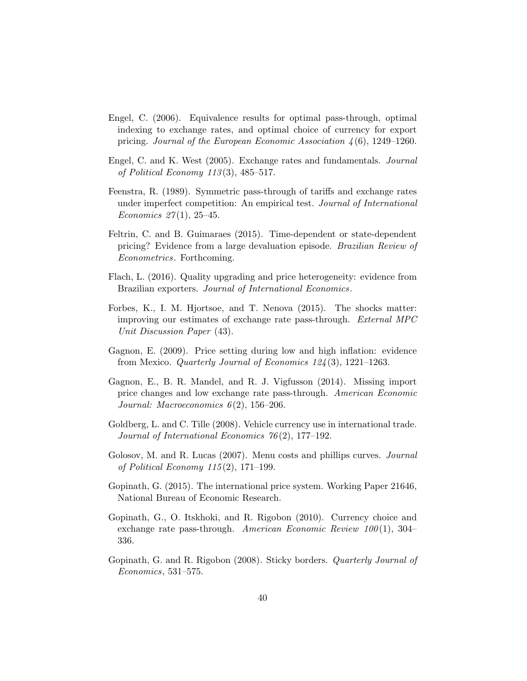- Engel, C. (2006). Equivalence results for optimal pass-through, optimal indexing to exchange rates, and optimal choice of currency for export pricing. Journal of the European Economic Association  $\lambda(6)$ , 1249–1260.
- Engel, C. and K. West (2005). Exchange rates and fundamentals. Journal of Political Economy  $113(3)$ ,  $485-517$ .
- Feenstra, R. (1989). Symmetric pass-through of tariffs and exchange rates under imperfect competition: An empirical test. Journal of International Economics  $27(1)$ , 25-45.
- Feltrin, C. and B. Guimaraes (2015). Time-dependent or state-dependent pricing? Evidence from a large devaluation episode. Brazilian Review of Econometrics. Forthcoming.
- Flach, L. (2016). Quality upgrading and price heterogeneity: evidence from Brazilian exporters. Journal of International Economics.
- Forbes, K., I. M. Hjortsoe, and T. Nenova (2015). The shocks matter: improving our estimates of exchange rate pass-through. External MPC Unit Discussion Paper (43).
- Gagnon, E. (2009). Price setting during low and high inflation: evidence from Mexico. *Quarterly Journal of Economics*  $124(3)$ ,  $1221-1263$ .
- Gagnon, E., B. R. Mandel, and R. J. Vigfusson (2014). Missing import price changes and low exchange rate pass-through. American Economic Journal: Macroeconomics  $6(2)$ , 156–206.
- Goldberg, L. and C. Tille (2008). Vehicle currency use in international trade. Journal of International Economics 76 (2), 177–192.
- Golosov, M. and R. Lucas (2007). Menu costs and phillips curves. Journal of Political Economy 115 (2), 171–199.
- Gopinath, G. (2015). The international price system. Working Paper 21646, National Bureau of Economic Research.
- Gopinath, G., O. Itskhoki, and R. Rigobon (2010). Currency choice and exchange rate pass-through. American Economic Review  $100(1)$ , 304– 336.
- Gopinath, G. and R. Rigobon (2008). Sticky borders. Quarterly Journal of Economics, 531–575.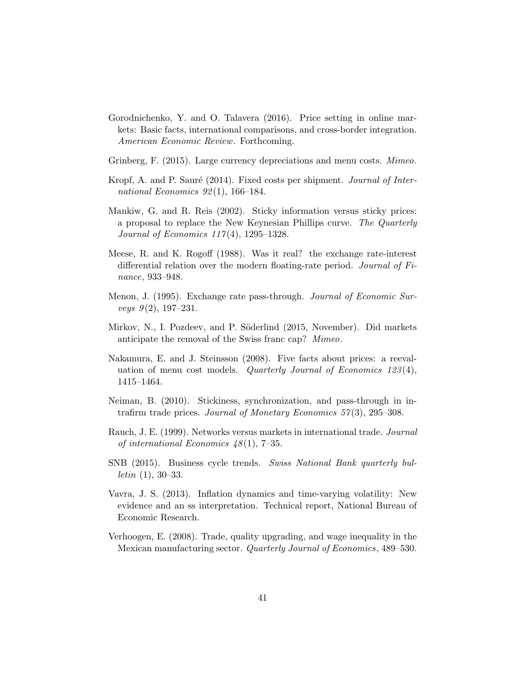- Gorodnichenko, Y. and O. Talavera (2016). Price setting in online markets: Basic facts, international comparisons, and cross-border integration. American Economic Review. Forthcoming.
- Grinberg, F. (2015). Large currency depreciations and menu costs. *Mimeo*.
- Kropf, A. and P. Sauré (2014). Fixed costs per shipment. Journal of International Economics  $92(1)$ , 166-184.
- Mankiw, G. and R. Reis (2002). Sticky information versus sticky prices: a proposal to replace the New Keynesian Phillips curve. The Quarterly Journal of Economics  $117(4)$ , 1295–1328.
- Meese, R. and K. Rogoff (1988). Was it real? the exchange rate-interest differential relation over the modern floating-rate period. Journal of Finance, 933–948.
- Menon, J. (1995). Exchange rate pass-through. Journal of Economic Surveys  $9(2)$ , 197-231.
- Mirkov, N., I. Pozdeev, and P. Söderlind (2015, November). Did markets anticipate the removal of the Swiss franc cap? Mimeo.
- Nakamura, E. and J. Steinsson (2008). Five facts about prices: a reevaluation of menu cost models. Quarterly Journal of Economics  $123(4)$ , 1415–1464.
- Neiman, B. (2010). Stickiness, synchronization, and pass-through in intrafirm trade prices. Journal of Monetary Economics  $57(3)$ , 295–308.
- Rauch, J. E. (1999). Networks versus markets in international trade. Journal of international Economics  $48(1)$ , 7-35.
- SNB (2015). Business cycle trends. Swiss National Bank quarterly bul*letin*  $(1), 30-33.$
- Vavra, J. S. (2013). Inflation dynamics and time-varying volatility: New evidence and an ss interpretation. Technical report, National Bureau of Economic Research.
- Verhoogen, E. (2008). Trade, quality upgrading, and wage inequality in the Mexican manufacturing sector. Quarterly Journal of Economics, 489–530.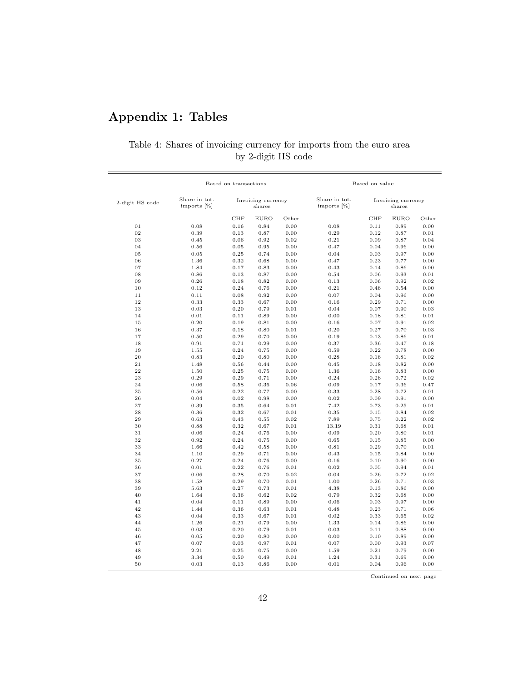# Appendix 1: Tables

# Table 4: Shares of invoicing currency for imports from the euro area by 2-digit HS code

|                 |                              | Based on transactions        |              |                              | Based on value               |              |              |              |
|-----------------|------------------------------|------------------------------|--------------|------------------------------|------------------------------|--------------|--------------|--------------|
| 2-digit HS code | Share in tot.<br>imports [%] | Invoicing currency<br>shares |              | Share in tot.<br>imports [%] | Invoicing currency<br>shares |              |              |              |
|                 |                              | CHF                          | <b>EURO</b>  | Other                        |                              | CHF          | <b>EURO</b>  | Other        |
| 01              | 0.08                         | 0.16                         | 0.84         | 0.00                         | 0.08                         | 0.11         | 0.89         | 0.00         |
| 02              | 0.39                         | 0.13                         | 0.87         | 0.00                         | 0.29                         | 0.12         | 0.87         | 0.01         |
| 03              | 0.45                         | 0.06                         | 0.92         | 0.02                         | 0.21                         | 0.09         | 0.87         | 0.04         |
| 04              | 0.56                         | 0.05                         | 0.95         | 0.00                         | 0.47                         | 0.04         | 0.96         | 0.00         |
| 05              | 0.05                         | 0.25                         | 0.74         | 0.00                         | 0.04                         | 0.03         | 0.97         | 0.00         |
| 06              | 1.36                         | 0.32                         | 0.68         | 0.00                         | 0.47                         | 0.23         | 0.77         | 0.00         |
| 07              | 1.84                         | 0.17                         | 0.83         | 0.00                         | 0.43                         | 0.14         | 0.86         | 0.00         |
| 08              | 0.86                         | 0.13                         | 0.87         | 0.00                         | 0.54                         | 0.06         | 0.93         | 0.01         |
| 09              | 0.26                         | 0.18                         | 0.82         | 0.00                         | 0.13                         | 0.06         | 0.92         | 0.02         |
| 10              | 0.12                         | 0.24                         | 0.76         | 0.00                         | 0.21                         | 0.46         | 0.54         | 0.00         |
| 11              | 0.11                         | 0.08                         | 0.92         | 0.00                         | 0.07                         | 0.04         | 0.96         | 0.00         |
| 12              | 0.33                         | 0.33                         | 0.67         | 0.00                         | 0.16                         | 0.29         | 0.71         | 0.00         |
| 13              | 0.03                         | 0.20                         | 0.79         | 0.01                         | 0.04                         | 0.07         | 0.90         | 0.03         |
| 14              | 0.01                         | 0.11                         | 0.89         | 0.00                         | 0.00                         | 0.18         | 0.81         | 0.01         |
| 15              | 0.20                         | 0.19                         | 0.81         | 0.00                         | 0.16                         | 0.07         | 0.91         | 0.02         |
| 16              | 0.37                         | 0.18                         | 0.80         | 0.01                         | 0.20                         | 0.27         | 0.70         | 0.03         |
| 17              | 0.50                         | 0.29                         | 0.70         | 0.00                         | 0.19                         | 0.13         | 0.86         | 0.01         |
| 18              | 0.91                         | 0.71                         | 0.29         | 0.00                         | 0.37                         | 0.36         | 0.47         | 0.18         |
| 19              | 1.55                         | 0.24                         | 0.75         | 0.00                         | 0.59                         | 0.22         | 0.78         | 0.00         |
| 20              | 0.83                         | 0.20                         | 0.80         | 0.00                         | 0.28                         | 0.16         | 0.81         | 0.02         |
| 21              | 1.48                         | 0.56                         | 0.44         | 0.00                         | 0.45                         | 0.18         | 0.82         | 0.00         |
| 22              | 1.50                         | 0.25                         | 0.75         | 0.00                         | 1.36                         | 0.16         | 0.83         | 0.00         |
| 23<br>24        | 0.29                         | 0.29                         | 0.71         | 0.00                         | 0.24                         | 0.26         | 0.72         | 0.02         |
| 25              | 0.06<br>0.56                 | 0.58<br>0.22                 | 0.36<br>0.77 | 0.06<br>0.00                 | 0.09<br>0.33                 | 0.17<br>0.28 | 0.36<br>0.72 | 0.47<br>0.01 |
| 26              | 0.04                         | 0.02                         | 0.98         | 0.00                         | 0.02                         | 0.09         | 0.91         | 0.00         |
| 27              | 0.39                         | 0.35                         | 0.64         | 0.01                         | 7.42                         | 0.73         | 0.25         | 0.01         |
| 28              | 0.36                         | 0.32                         | 0.67         | 0.01                         | 0.35                         | 0.15         | 0.84         | 0.02         |
| 29              | 0.63                         | 0.43                         | 0.55         | 0.02                         | 7.89                         | 0.75         | 0.22         | 0.02         |
| 30              | 0.88                         | 0.32                         | 0.67         | 0.01                         | 13.19                        | 0.31         | 0.68         | 0.01         |
| 31              | 0.06                         | 0.24                         | 0.76         | 0.00                         | 0.09                         | 0.20         | 0.80         | 0.01         |
| 32              | 0.92                         | 0.24                         | 0.75         | 0.00                         | 0.65                         | 0.15         | 0.85         | 0.00         |
| 33              | 1.66                         | 0.42                         | 0.58         | 0.00                         | 0.81                         | 0.29         | 0.70         | 0.01         |
| 34              | 1.10                         | 0.29                         | 0.71         | 0.00                         | 0.43                         | 0.15         | 0.84         | 0.00         |
| 35              | 0.27                         | 0.24                         | 0.76         | 0.00                         | 0.16                         | 0.10         | 0.90         | 0.00         |
| 36              | 0.01                         | 0.22                         | 0.76         | 0.01                         | 0.02                         | 0.05         | 0.94         | 0.01         |
| 37              | 0.06                         | 0.28                         | 0.70         | 0.02                         | 0.04                         | 0.26         | 0.72         | 0.02         |
| 38              | 1.58                         | 0.29                         | 0.70         | 0.01                         | 1.00                         | 0.26         | 0.71         | 0.03         |
| 39              | 5.63                         | 0.27                         | 0.73         | 0.01                         | 4.38                         | 0.13         | 0.86         | 0.00         |
| 40              | 1.64                         | 0.36                         | 0.62         | 0.02                         | 0.79                         | 0.32         | 0.68         | 0.00         |
| 41              | 0.04                         | 0.11                         | 0.89         | 0.00                         | 0.06                         | 0.03         | 0.97         | 0.00         |
| 42              | 1.44                         | 0.36                         | 0.63         | 0.01                         | 0.48                         | 0.23         | 0.71         | 0.06         |
| 43              | 0.04                         | 0.33                         | 0.67         | 0.01                         | 0.02                         | 0.33         | 0.65         | 0.02         |
| 44              | 1.26                         | 0.21                         | 0.79         | 0.00                         | 1.33                         | 0.14         | 0.86         | 0.00         |
| 45              | 0.03                         | 0.20                         | 0.79         | 0.01                         | 0.03                         | 0.11         | 0.88         | 0.00         |
| 46              | 0.05                         | 0.20                         | 0.80         | 0.00                         | 0.00                         | 0.10         | 0.89         | 0.00         |
| 47              | 0.07                         | 0.03                         | 0.97         | 0.01                         | 0.07                         | 0.00         | 0.93         | 0.07         |
| 48              | 2.21                         | 0.25                         | 0.75         | 0.00                         | 1.59                         | 0.21         | 0.79         | 0.00         |
| 49              | 3.34                         | 0.50                         | 0.49         | 0.01                         | 1.24                         | 0.31         | 0.69         | 0.00         |
| 50              | 0.03                         | 0.13                         | 0.86         | 0.00                         | 0.01                         | 0.04         | 0.96         | 0.00         |

Continued on next page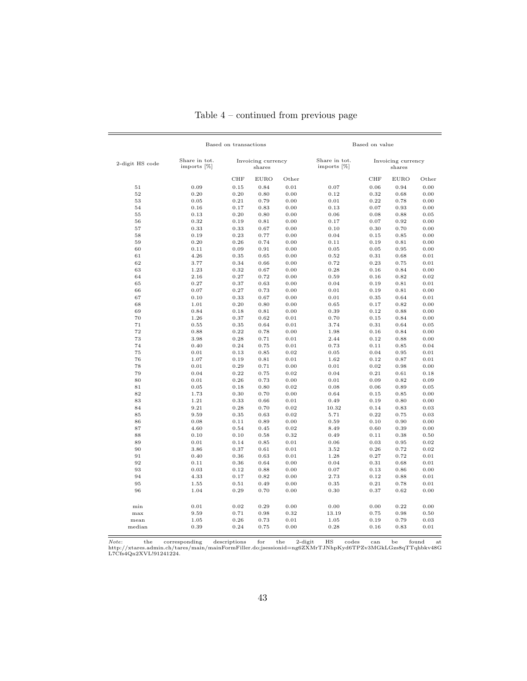|                 | Based on transactions        |                              |              |                              | Based on value               |              |              |              |
|-----------------|------------------------------|------------------------------|--------------|------------------------------|------------------------------|--------------|--------------|--------------|
| 2-digit HS code | Share in tot.<br>imports [%] | Invoicing currency<br>shares |              | Share in tot.<br>imports [%] | Invoicing currency<br>shares |              |              |              |
|                 |                              | <b>CHF</b>                   | <b>EURO</b>  | Other                        |                              | <b>CHF</b>   | <b>EURO</b>  | Other        |
| 51              | 0.09                         | 0.15                         | 0.84         | 0.01                         | 0.07                         | 0.06         | 0.94         | 0.00         |
| 52              | 0.20                         | 0.20                         | 0.80         | 0.00                         | 0.12                         | 0.32         | 0.68         | 0.00         |
| 53              | 0.05                         | 0.21                         | 0.79         | 0.00                         | 0.01                         | 0.22         | 0.78         | 0.00         |
| 54              | 0.16                         | 0.17                         | 0.83         | 0.00                         | 0.13                         | 0.07         | 0.93         | 0.00         |
| 55              | 0.13                         | 0.20                         | 0.80         | 0.00                         | 0.06                         | 0.08         | 0.88         | 0.05         |
| 56              | 0.32                         | 0.19                         | 0.81         | 0.00                         | 0.17                         | 0.07         | 0.92         | 0.00         |
| 57              | 0.33                         | 0.33                         | 0.67         | 0.00                         | 0.10                         | 0.30         | 0.70         | 0.00         |
| 58              | 0.19                         | 0.23                         | 0.77         | 0.00                         | 0.04                         | 0.15         | 0.85         | 0.00         |
| 59              | 0.20                         | 0.26                         | 0.74         | 0.00                         | 0.11                         | 0.19         | 0.81         | 0.00         |
| 60              | 0.11                         | 0.09                         | 0.91         | 0.00                         | 0.05                         | 0.05         | 0.95         | 0.00         |
| 61              | 4.26                         | 0.35                         | 0.65         | 0.00                         | 0.52                         | 0.31         | 0.68         | 0.01         |
| 62              | 3.77                         | 0.34                         | 0.66         | 0.00                         | 0.72                         | 0.23         | 0.75         | 0.01         |
| 63              | 1.23                         | 0.32                         | 0.67         | 0.00                         | 0.28                         | 0.16         | 0.84         | 0.00         |
| 64              | 2.16                         | 0.27                         | 0.72         | 0.00                         | 0.59                         | 0.16         | 0.82         | 0.02         |
| 65              | 0.27                         | 0.37                         | 0.63         | 0.00                         | 0.04                         | 0.19         | 0.81         | 0.01         |
| 66              | 0.07                         | 0.27                         | 0.73         | 0.00                         | 0.01                         | 0.19         | 0.81         | 0.00         |
| 67              | 0.10                         | 0.33                         | 0.67         | 0.00                         | 0.01                         | 0.35         | 0.64         | 0.01         |
| 68              | 1.01                         | 0.20                         | 0.80         | 0.00                         | 0.65                         | 0.17         | 0.82         | 0.00         |
| 69              | 0.84                         | 0.18                         | 0.81         | 0.00                         | 0.39                         | 0.12         | 0.88         | 0.00         |
| 70              | 1.26                         | 0.37                         | 0.62         | 0.01                         | 0.70                         | 0.15         | 0.84         | 0.00         |
| 71              | 0.55                         | 0.35                         | 0.64         | 0.01                         | 3.74                         | 0.31         | 0.64         | 0.05         |
| 72              | 0.88                         | 0.22                         | 0.78         | 0.00                         | 1.98                         | 0.16         | 0.84         | 0.00         |
| 73              | 3.98                         | 0.28                         | 0.71         | 0.01                         | 2.44                         | 0.12         | 0.88         | 0.00         |
| 74              | 0.40                         | 0.24                         | 0.75         | 0.01                         | 0.73                         | 0.11         | 0.85         | 0.04         |
| 75<br>76        | 0.01<br>1.07                 | 0.13<br>0.19                 | 0.85<br>0.81 | 0.02                         | 0.05                         | 0.04<br>0.12 | 0.95<br>0.87 | 0.01<br>0.01 |
| 78              | 0.01                         | 0.29                         | 0.71         | 0.01<br>0.00                 | 1.62<br>0.01                 | 0.02         | 0.98         | 0.00         |
| 79              | 0.04                         | 0.22                         | 0.75         | 0.02                         | 0.04                         | 0.21         | 0.61         | 0.18         |
| 80              | 0.01                         | 0.26                         | 0.73         | 0.00                         | 0.01                         | 0.09         | 0.82         | 0.09         |
| 81              | 0.05                         | 0.18                         | 0.80         | 0.02                         | 0.08                         | 0.06         | 0.89         | 0.05         |
| 82              | 1.73                         | 0.30                         | 0.70         | 0.00                         | 0.64                         | 0.15         | 0.85         | 0.00         |
| 83              | 1.21                         | 0.33                         | 0.66         | 0.01                         | 0.49                         | 0.19         | 0.80         | 0.00         |
| 84              | 9.21                         | 0.28                         | 0.70         | 0.02                         | 10.32                        | 0.14         | 0.83         | 0.03         |
| 85              | 9.59                         | 0.35                         | 0.63         | 0.02                         | 5.71                         | 0.22         | 0.75         | 0.03         |
| 86              | 0.08                         | 0.11                         | 0.89         | 0.00                         | 0.59                         | 0.10         | 0.90         | 0.00         |
| 87              | 4.60                         | 0.54                         | 0.45         | 0.02                         | 8.49                         | 0.60         | 0.39         | 0.00         |
| 88              | 0.10                         | 0.10                         | 0.58         | 0.32                         | 0.49                         | 0.11         | 0.38         | 0.50         |
| 89              | 0.01                         | 0.14                         | 0.85         | $\rm 0.01$                   | 0.06                         | 0.03         | 0.95         | 0.02         |
| 90              | 3.86                         | 0.37                         | 0.61         | 0.01                         | 3.52                         | 0.26         | 0.72         | 0.02         |
| 91              | 0.40                         | 0.36                         | 0.63         | 0.01                         | 1.28                         | 0.27         | 0.72         | 0.01         |
| 92              | 0.11                         | 0.36                         | 0.64         | 0.00                         | 0.04                         | 0.31         | 0.68         | 0.01         |
| 93              | 0.03                         | 0.12                         | 0.88         | 0.00                         | 0.07                         | 0.13         | 0.86         | 0.00         |
| 94              | 4.33                         | 0.17                         | 0.82         | 0.00                         | 2.73                         | 0.12         | 0.88         | 0.01         |
| 95              | 1.55                         | 0.51                         | 0.49         | 0.00                         | 0.35                         | 0.21         | 0.78         | 0.01         |
| 96              | 1.04                         | 0.29                         | 0.70         | 0.00                         | 0.30                         | 0.37         | 0.62         | 0.00         |
|                 |                              |                              |              |                              |                              |              |              |              |
| min             | 0.01                         | 0.02                         | 0.29         | 0.00                         | 0.00                         | 0.00         | 0.22         | 0.00         |
| max             | 9.59                         | 0.71                         | 0.98         | 0.32                         | 13.19                        | 0.75         | 0.98         | 0.50         |
| mean            | 1.05                         | 0.26                         | 0.73         | 0.01                         | 1.05                         | 0.19         | 0.79         | 0.03         |
| median          | 0.39                         | 0.24                         | 0.75         | 0.00                         | 0.28                         | 0.16         | 0.83         | 0.01         |
|                 |                              |                              |              |                              |                              |              |              |              |

Table 4 – continued from previous page

Note: the corresponding descriptions for the 2-digit HS codes can be found at http://xtares.admin.ch/tares/main/mainFormFiller.do;jsessionid=ng6ZXMrTJNhpKyd6TPZv3MGkLGzs8qTTqhbkv48G L7Cfs4Qn2XVL!91241224.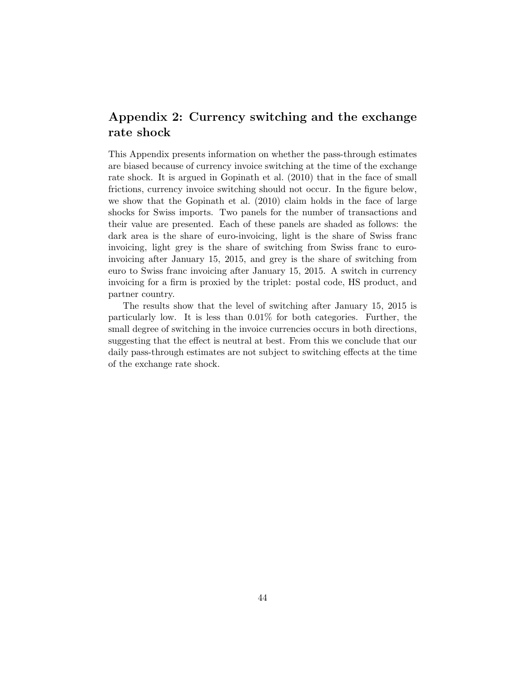# Appendix 2: Currency switching and the exchange rate shock

This Appendix presents information on whether the pass-through estimates are biased because of currency invoice switching at the time of the exchange rate shock. It is argued in Gopinath et al. (2010) that in the face of small frictions, currency invoice switching should not occur. In the figure below, we show that the Gopinath et al. (2010) claim holds in the face of large shocks for Swiss imports. Two panels for the number of transactions and their value are presented. Each of these panels are shaded as follows: the dark area is the share of euro-invoicing, light is the share of Swiss franc invoicing, light grey is the share of switching from Swiss franc to euroinvoicing after January 15, 2015, and grey is the share of switching from euro to Swiss franc invoicing after January 15, 2015. A switch in currency invoicing for a firm is proxied by the triplet: postal code, HS product, and partner country.

The results show that the level of switching after January 15, 2015 is particularly low. It is less than 0.01% for both categories. Further, the small degree of switching in the invoice currencies occurs in both directions, suggesting that the effect is neutral at best. From this we conclude that our daily pass-through estimates are not subject to switching effects at the time of the exchange rate shock.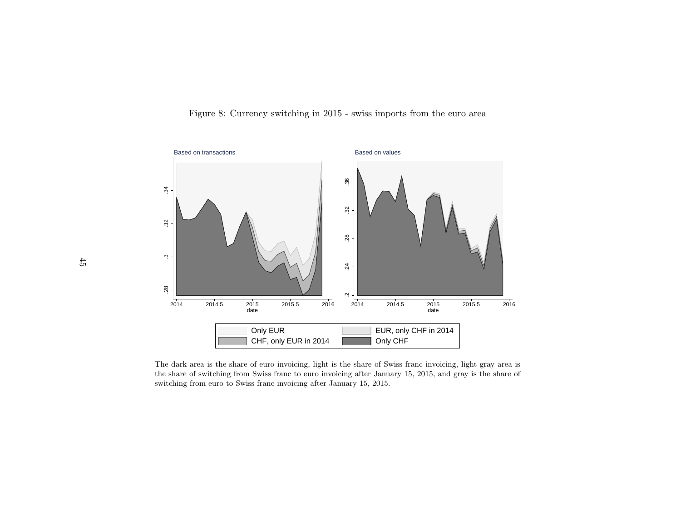![](_page_44_Figure_0.jpeg)

![](_page_44_Figure_1.jpeg)

4 Only CHF<br>t is the share of Swiss from the share of Swiss from the state of Swiss from the state of Small Share is also share of the state of the state of the state of the state of the state of the state of the state of t The dark area is the share of euro invoicing, light is the share of Swiss franc invoicing, light gray area is<br>the share of switching from Swiss franc to euro invoicing after January 15, 2015, and gray is the share of<br>switc the share of switching from Swiss franc to euro invoicing after January 15, 2015, and gray is the share ofswitching from euro to Swiss franc invoicing after January 15, 2015.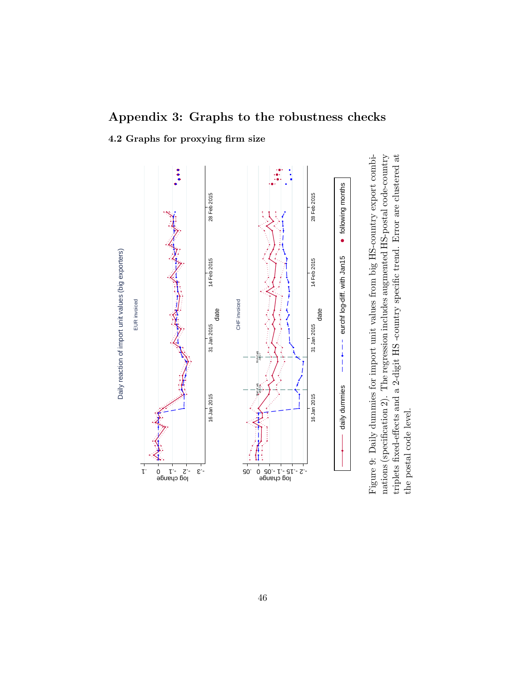# Appendix 3: Graphs to the robustness checks

4.2 Graphs for proxying firm size

![](_page_45_Figure_2.jpeg)

nations (specification 2). The regression includes augmented HS-postal code-country triplets fixed-effects and a 2-digit HS -country specific trend. Error are clustered at the postal code level.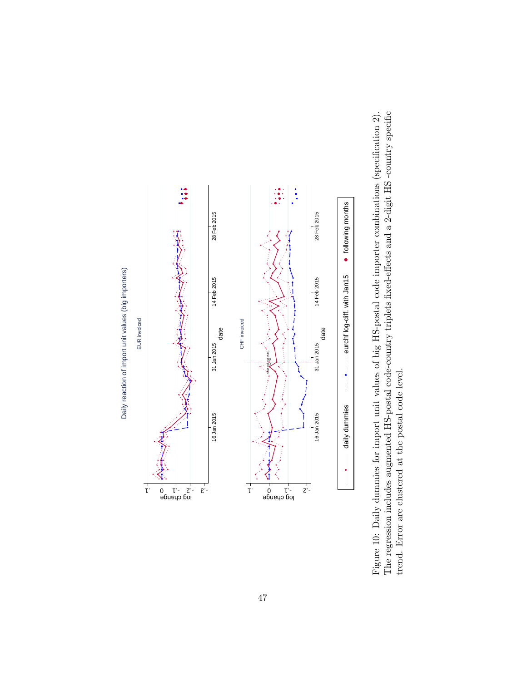![](_page_46_Figure_0.jpeg)

daily dummies  $------$  eurchf log-diff. with Jan15  $\bullet$  following months<br>import unit values of big HS-postal code importer combinated HS-postal code-country triplets fixed-effects and a 2-dig<br>ne postal code level.<br>We set al. c Figure 10: Daily dummies for import unit values of big HS-postal code importer combinations (specification 2). The regression includes augmented HS-postal code-country triplets fixed-effects and a 2-digit HS -country specific trend. Error are clustered at the postal code level.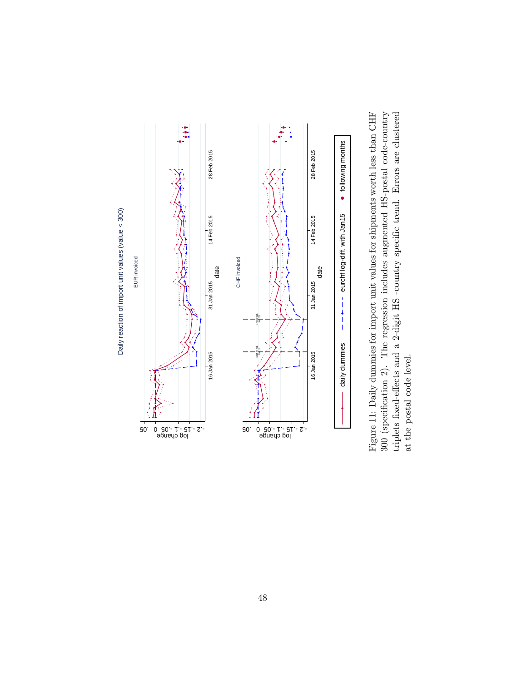![](_page_47_Figure_0.jpeg)

daily dummies  $\begin{array}{ll}\n - & \text{\textbf{---} \textbf{---} } \text{a} & \text{\textbf{--} \textbf{---} } \text{a} \\
 \end{array}$  dumminies for import unit values for shipments worth less than 2). The regression includes augmented HS-postal code-<br>cets and a 2-digit HS -country Figure 11: Daily dummies for import unit values for shipments worth less than CHF 300 (specification 2). The regression includes augmented HS-postal code-country triplets fixed-effects and a 2-digit HS -country specific trend. Errors are clustered at the postal code level.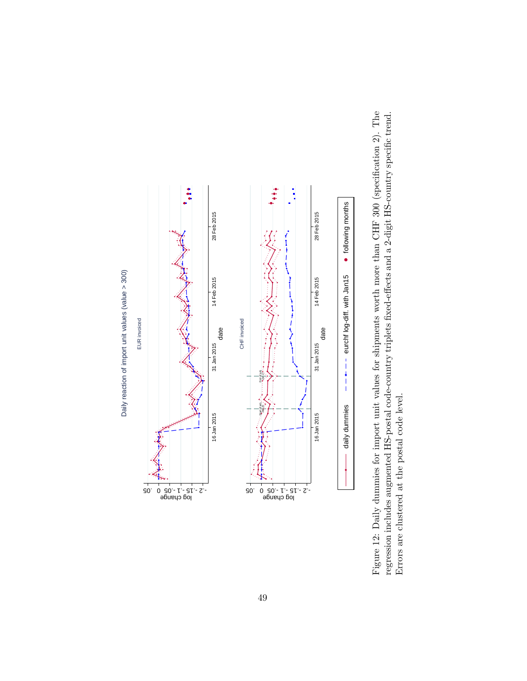![](_page_48_Figure_0.jpeg)

daily dummies  $------$  eurchf log-diff. with Jan15  $\bullet$  following months<br>mport unit values for shipments worth more than CHF 300<br>iB-postal code-country triplets fixed-effects and a 2-digit HS-<br>al code level. Figure 12: Daily dummies for import unit values for shipments worth more than CHF 300 (specification 2). The regression includes augmented HS-postal code-country triplets fixed-effects and a 2-digit HS-country specific trend. Errors are clustered at the postal code level.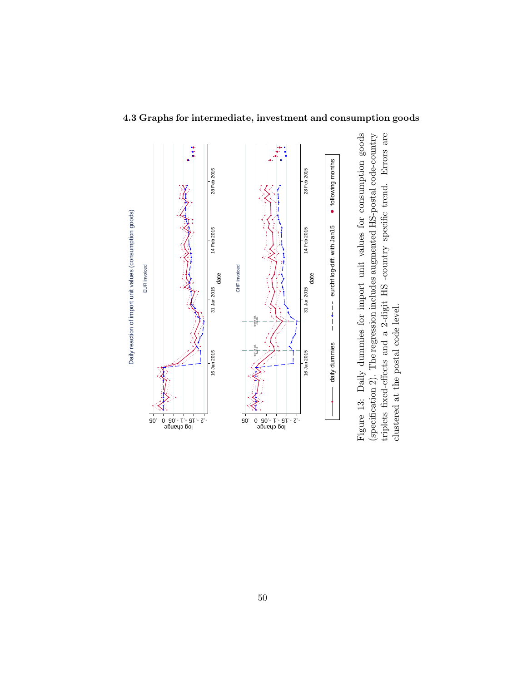![](_page_49_Figure_0.jpeg)

# 4.3 Graphs for intermediate, investment and consumption goods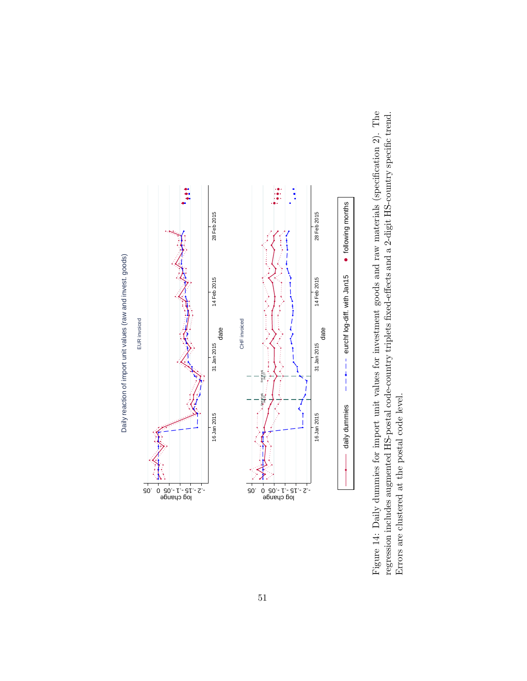![](_page_50_Figure_0.jpeg)

daily dummies  $------$  eurch log-diff. with Jan15  $\bullet$  following months<br>import unit values for investment goods and raw materials<br>id-postal code-country triplets fixed-effects and a 2-digit HS-<br>al code level. Figure 14: Daily dummies for import unit values for investment goods and raw materials (specification 2). The regression includes augmented HS-postal code-country triplets fixed-effects and a 2-digit HS-country specific trend. Errors are clustered at the postal code level.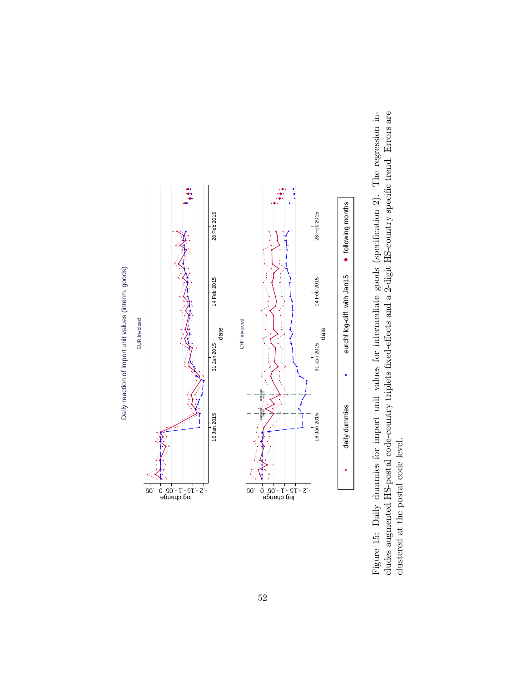![](_page_51_Figure_0.jpeg)

daily dummies  $------$  eurchf log-diff. with Jan15  $\bullet$  following months<br>import unit values for intermediate goods (specification 2<br>de-country triplets fixed-effects and a 2-digit HS-country spe<br>el. Figure 15: Daily dummies for import unit values for intermediate goods (specification 2). The regression includes augmented HS-postal code-country triplets fixed-effects and a 2-digit HS-country specific trend. Errors are clustered at the postal code level.

52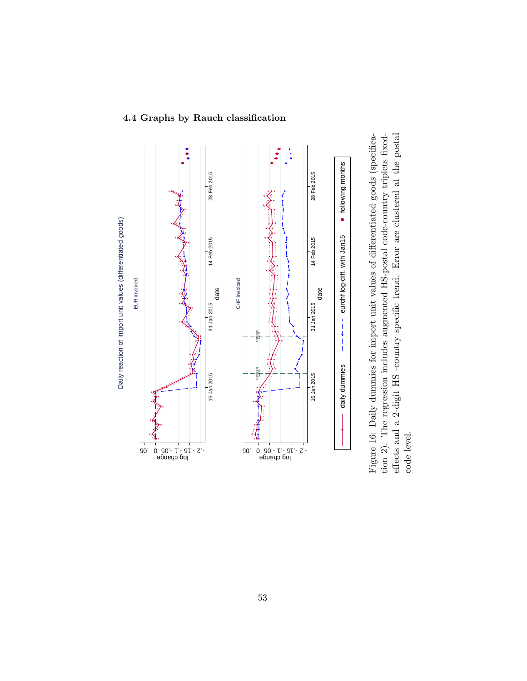![](_page_52_Figure_0.jpeg)

### 4.4 Graphs by Rauch classification

daily dummies  $----$  eurchf log-diff. with Jan15  $\bullet$  Melowing months dummies for import unit values of differentiated goods (spacession includes augmented HS-postal code-country triplets.<br>digit HS -country specific trend. E Figure 16: Daily dummies for import unit values of differentiated goods (specification 2). The regression includes augmented HS-postal code-country triplets fixedeffects and a 2-digit HS -country specific trend. Error are clustered at the postal code level.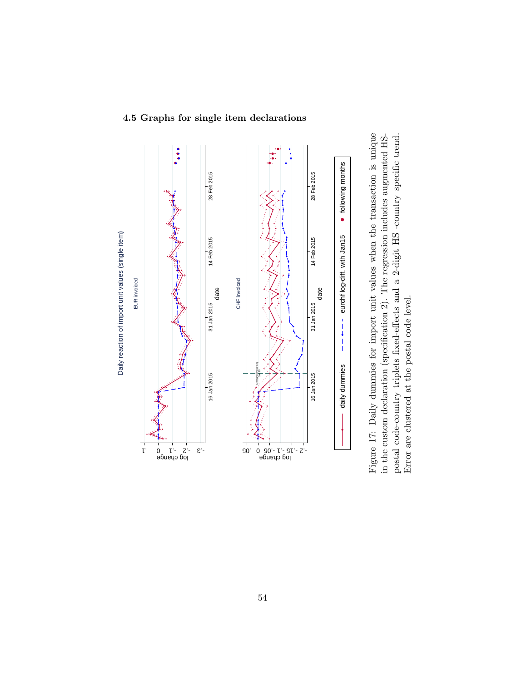![](_page_53_Figure_0.jpeg)

# 4.5 Graphs for single item declarations

daily dummies  $\dashrightarrow$   $\dashrightarrow$  euch log-diff. with Jan15  $\bullet$  following months y dummies for import unit values when the transaction is claration (specification 2). The regression includes augment<br>thry triplets fixed-effects a Figure 17: Daily dummies for import unit values when the transaction is unique in the custom declaration (specification 2). The regression includes augmented HSpostal code-country triplets fixed-effects and a 2-digit HS -country specific trend. Error are clustered at the postal code level.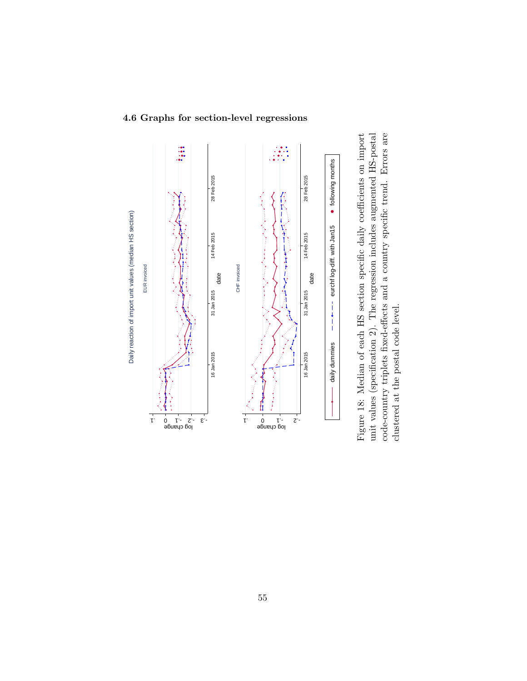![](_page_54_Figure_0.jpeg)

#### 4.6 Graphs for section-level regressions

daily dummies  $---$  -  $---$  eurchflog-diff. with lant 5  $\bullet$  following months<br>dian of each HS section specific daily coefficients on i<br>riplets fixed-effects and a country specific trend. Errors<br>e postal code level. Figure 18: Median of each HS section specific daily coefficients on import unit values (specification 2). The regression includes augmented HS-postal code-country triplets fixed-effects and a country specific trend. Errors are clustered at the postal code level.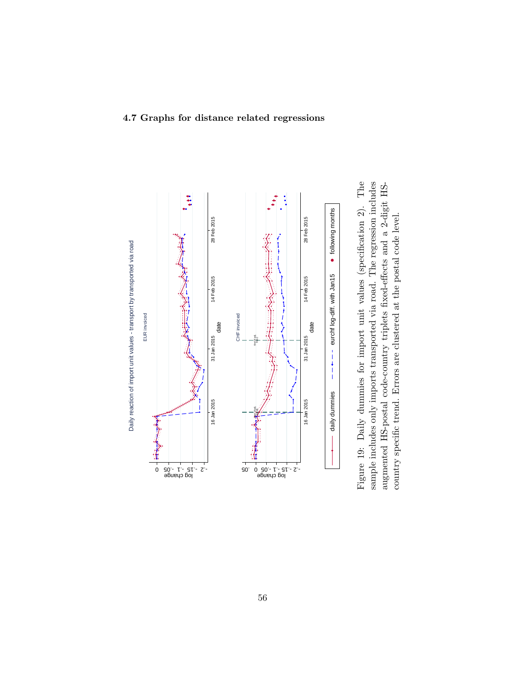![](_page_55_Figure_0.jpeg)

![](_page_55_Figure_1.jpeg)

#### 4.7 Graphs for distance related regressions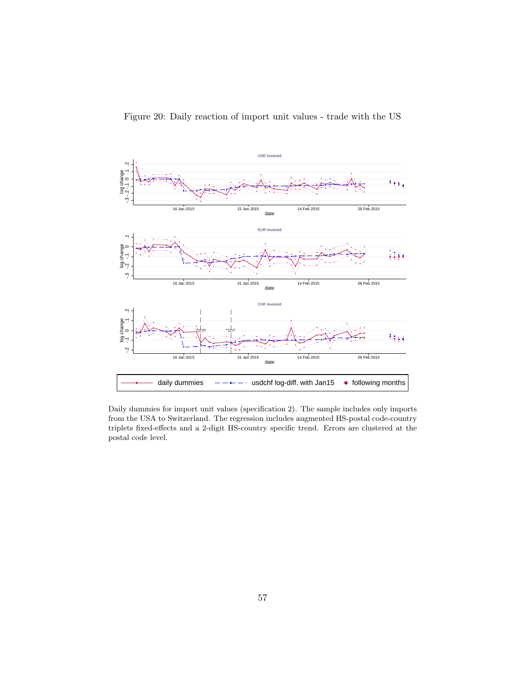![](_page_56_Figure_0.jpeg)

![](_page_56_Figure_1.jpeg)

Daily dummies for import unit values (specification 2). The sample includes only imports from the USA to Switzerland. The regression includes augmented HS-postal code-country triplets fixed-effects and a 2-digit HS-country specific trend. Errors are clustered at the postal code level.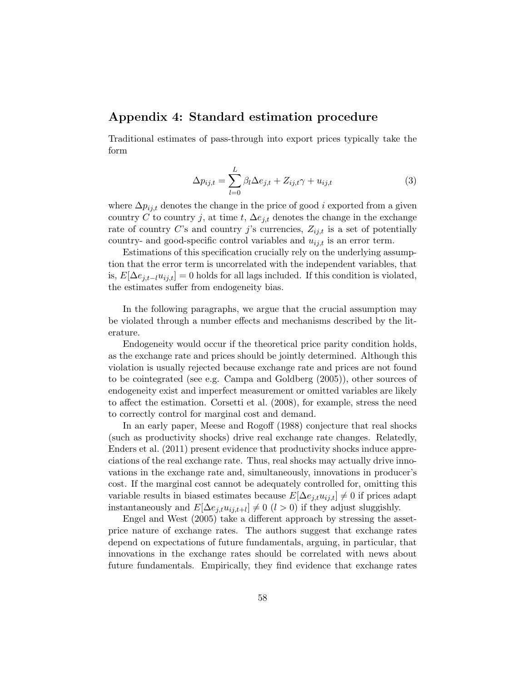# Appendix 4: Standard estimation procedure

Traditional estimates of pass-through into export prices typically take the form

$$
\Delta p_{ij,t} = \sum_{l=0}^{L} \beta_l \Delta e_{j,t} + Z_{ij,t}\gamma + u_{ij,t}
$$
\n(3)

where  $\Delta p_{ij,t}$  denotes the change in the price of good i exported from a given country C to country j, at time t,  $\Delta e_{j,t}$  denotes the change in the exchange rate of country C's and country j's currencies,  $Z_{ij,t}$  is a set of potentially country- and good-specific control variables and  $u_{ij,t}$  is an error term.

Estimations of this specification crucially rely on the underlying assumption that the error term is uncorrelated with the independent variables, that is,  $E[\Delta e_{j,t-l}u_{ij,t}] = 0$  holds for all lags included. If this condition is violated, the estimates suffer from endogeneity bias.

In the following paragraphs, we argue that the crucial assumption may be violated through a number effects and mechanisms described by the literature.

Endogeneity would occur if the theoretical price parity condition holds, as the exchange rate and prices should be jointly determined. Although this violation is usually rejected because exchange rate and prices are not found to be cointegrated (see e.g. Campa and Goldberg (2005)), other sources of endogeneity exist and imperfect measurement or omitted variables are likely to affect the estimation. Corsetti et al. (2008), for example, stress the need to correctly control for marginal cost and demand.

In an early paper, Meese and Rogoff (1988) conjecture that real shocks (such as productivity shocks) drive real exchange rate changes. Relatedly, Enders et al. (2011) present evidence that productivity shocks induce appreciations of the real exchange rate. Thus, real shocks may actually drive innovations in the exchange rate and, simultaneously, innovations in producer's cost. If the marginal cost cannot be adequately controlled for, omitting this variable results in biased estimates because  $E[\Delta e_{j,t}u_{ij,t}] \neq 0$  if prices adapt instantaneously and  $E[\Delta e_{j,t} u_{ij,t+l}] \neq 0$  (l > 0) if they adjust sluggishly.

Engel and West (2005) take a different approach by stressing the assetprice nature of exchange rates. The authors suggest that exchange rates depend on expectations of future fundamentals, arguing, in particular, that innovations in the exchange rates should be correlated with news about future fundamentals. Empirically, they find evidence that exchange rates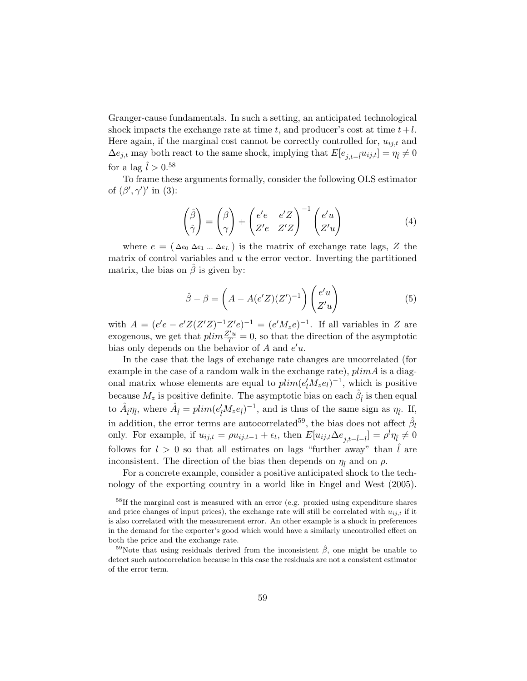Granger-cause fundamentals. In such a setting, an anticipated technological shock impacts the exchange rate at time t, and producer's cost at time  $t+l$ . Here again, if the marginal cost cannot be correctly controlled for,  $u_{ij,t}$  and  $\Delta e_{j,t}$  may both react to the same shock, implying that  $E[e_{j,t-i}u_{ij,t}] = \eta_{\tilde{l}} \neq 0$ for a lag  $\hat{l} > 0.58$ 

To frame these arguments formally, consider the following OLS estimator of  $(\beta', \gamma')'$  in (3):

$$
\begin{pmatrix}\n\hat{\beta} \\
\hat{\gamma}\n\end{pmatrix} = \begin{pmatrix}\n\beta \\
\gamma\n\end{pmatrix} + \begin{pmatrix}\ne'e & e'Z \\
Z'e & Z'Z\n\end{pmatrix}^{-1} \begin{pmatrix}\ne'u \\
Z'u\n\end{pmatrix}
$$
\n(4)

where  $e = (\Delta e_0 \Delta e_1 ... \Delta e_L)$  is the matrix of exchange rate lags, Z the matrix of control variables and u the error vector. Inverting the partitioned matrix, the bias on  $\hat{\beta}$  is given by:

$$
\hat{\beta} - \beta = \left(A - A(e'Z)(Z')^{-1}\right) \begin{pmatrix} e'u \\ Z'u \end{pmatrix} \tag{5}
$$

with  $A = (e'e - e'Z(Z'Z)^{-1}Z'e)^{-1} = (e'M_ze)^{-1}$ . If all variables in Z are exogenous, we get that  $plim \frac{Z'u}{T} = 0$ , so that the direction of the asymptotic bias only depends on the behavior of  $A$  and  $e'u$ .

In the case that the lags of exchange rate changes are uncorrelated (for example in the case of a random walk in the exchange rate),  $plimA$  is a diagonal matrix whose elements are equal to  $plim(e'_{l}M_{z}e_{l})^{-1}$ , which is positive because  $M_z$  is positive definite. The asymptotic bias on each  $\hat{\beta}_\hat{l}$  is then equal to  $\hat{A}_{\hat{i}}\eta_{\hat{i}}$ , where  $\hat{A}_{\hat{i}} = plim(e_{\hat{i}}'M_ze_{\hat{i}})^{-1}$ , and is thus of the same sign as  $\eta_{\hat{i}}$ . If, in addition, the error terms are autocorrelated<sup>59</sup>, the bias does not affect  $\hat{\beta}_l$ only. For example, if  $u_{ij,t} = \rho u_{ij,t-1} + \epsilon_t$ , then  $E[u_{ij,t}\Delta e_{j,t-\hat{l}-l}] = \rho^l \eta_{\hat{l}} \neq 0$ follows for  $l > 0$  so that all estimates on lags "further away" than  $l$  are inconsistent. The direction of the bias then depends on  $\eta_{\hat{l}}$  and on  $\rho$ .

For a concrete example, consider a positive anticipated shock to the technology of the exporting country in a world like in Engel and West (2005).

<sup>58</sup>If the marginal cost is measured with an error (e.g. proxied using expenditure shares and price changes of input prices), the exchange rate will still be correlated with  $u_{i,j,t}$  if it is also correlated with the measurement error. An other example is a shock in preferences in the demand for the exporter's good which would have a similarly uncontrolled effect on both the price and the exchange rate.

<sup>&</sup>lt;sup>59</sup>Note that using residuals derived from the inconsistent  $\hat{\beta}$ , one might be unable to detect such autocorrelation because in this case the residuals are not a consistent estimator of the error term.